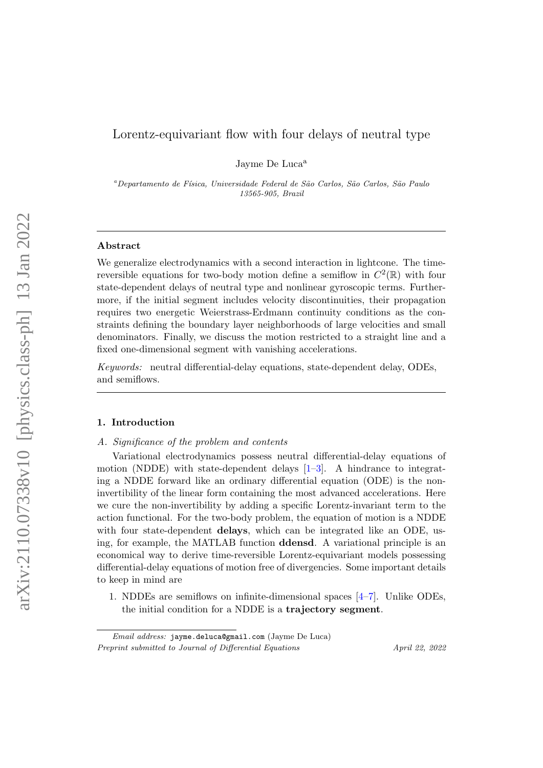# Lorentz-equivariant flow with four delays of neutral type

Jayme De Luca<sup>a</sup>

<sup>a</sup>Departamento de Física, Universidade Federal de São Carlos, São Carlos, São Paulo 13565-905, Brazil

# Abstract

We generalize electrodynamics with a second interaction in lightcone. The timereversible equations for two-body motion define a semiflow in  $C^2(\mathbb{R})$  with four state-dependent delays of neutral type and nonlinear gyroscopic terms. Furthermore, if the initial segment includes velocity discontinuities, their propagation requires two energetic Weierstrass-Erdmann continuity conditions as the constraints defining the boundary layer neighborhoods of large velocities and small denominators. Finally, we discuss the motion restricted to a straight line and a fixed one-dimensional segment with vanishing accelerations.

Keywords: neutral differential-delay equations, state-dependent delay, ODEs, and semiflows.

#### 1. Introduction

#### A. Significance of the problem and contents

Variational electrodynamics possess neutral differential-delay equations of motion (NDDE) with state-dependent delays [\[1–](#page-31-0)[3\]](#page-31-1). A hindrance to integrating a NDDE forward like an ordinary differential equation (ODE) is the noninvertibility of the linear form containing the most advanced accelerations. Here we cure the non-invertibility by adding a specific Lorentz-invariant term to the action functional. For the two-body problem, the equation of motion is a NDDE with four state-dependent **delays**, which can be integrated like an ODE, using, for example, the MATLAB function ddensd. A variational principle is an economical way to derive time-reversible Lorentz-equivariant models possessing differential-delay equations of motion free of divergencies. Some important details to keep in mind are

1. NDDEs are semiflows on infinite-dimensional spaces [\[4–](#page-31-2)[7\]](#page-31-3). Unlike ODEs, the initial condition for a NDDE is a trajectory segment.

Email address: jayme.deluca@gmail.com (Jayme De Luca) Preprint submitted to Journal of Differential Equations April 22, 2022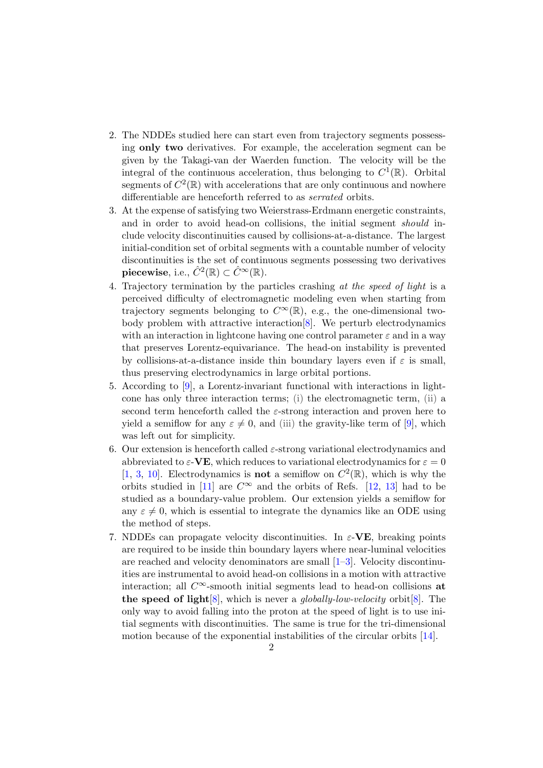- 2. The NDDEs studied here can start even from trajectory segments possessing only two derivatives. For example, the acceleration segment can be given by the Takagi-van der Waerden function. The velocity will be the integral of the continuous acceleration, thus belonging to  $C^1(\mathbb{R})$ . Orbital segments of  $C^2(\mathbb{R})$  with accelerations that are only continuous and nowhere differentiable are henceforth referred to as serrated orbits.
- 3. At the expense of satisfying two Weierstrass-Erdmann energetic constraints, and in order to avoid head-on collisions, the initial segment *should* include velocity discontinuities caused by collisions-at-a-distance. The largest initial-condition set of orbital segments with a countable number of velocity discontinuities is the set of continuous segments possessing two derivatives  ${\bf piecewise}, \ {\rm i.e.}, \ \hat{C}^2(\mathbb{R}) \subset \hat{C}^\infty(\mathbb{R}).$
- 4. Trajectory termination by the particles crashing at the speed of light is a perceived difficulty of electromagnetic modeling even when starting from trajectory segments belonging to  $C^{\infty}(\mathbb{R})$ , e.g., the one-dimensional twobody problem with attractive interaction[\[8\]](#page-31-4). We perturb electrodynamics with an interaction in lightcone having one control parameter  $\varepsilon$  and in a way that preserves Lorentz-equivariance. The head-on instability is prevented by collisions-at-a-distance inside thin boundary layers even if  $\varepsilon$  is small, thus preserving electrodynamics in large orbital portions.
- 5. According to [\[9\]](#page-31-5), a Lorentz-invariant functional with interactions in lightcone has only three interaction terms; (i) the electromagnetic term, (ii) a second term henceforth called the  $\varepsilon$ -strong interaction and proven here to yield a semiflow for any  $\varepsilon \neq 0$ , and (iii) the gravity-like term of [\[9\]](#page-31-5), which was left out for simplicity.
- 6. Our extension is henceforth called  $\varepsilon$ -strong variational electrodynamics and abbreviated to  $\varepsilon$ -VE, which reduces to variational electrodynamics for  $\varepsilon = 0$ [\[1,](#page-31-0) [3,](#page-31-1) [10\]](#page-32-0). Electrodynamics is **not** a semiflow on  $C^2(\mathbb{R})$ , which is why the orbits studied in [\[11\]](#page-32-1) are  $C^{\infty}$  and the orbits of Refs. [\[12,](#page-32-2) [13\]](#page-32-3) had to be studied as a boundary-value problem. Our extension yields a semiflow for any  $\varepsilon \neq 0$ , which is essential to integrate the dynamics like an ODE using the method of steps.
- 7. NDDEs can propagate velocity discontinuities. In  $\varepsilon$ -VE, breaking points are required to be inside thin boundary layers where near-luminal velocities are reached and velocity denominators are small  $[1-3]$  $[1-3]$ . Velocity discontinuities are instrumental to avoid head-on collisions in a motion with attractive interaction; all  $C^{\infty}$ -smooth initial segments lead to head-on collisions at the speed of light  $[8]$ , which is never a *qlobally-low-velocity* orbit  $[8]$ . The only way to avoid falling into the proton at the speed of light is to use initial segments with discontinuities. The same is true for the tri-dimensional motion because of the exponential instabilities of the circular orbits [\[14\]](#page-32-4).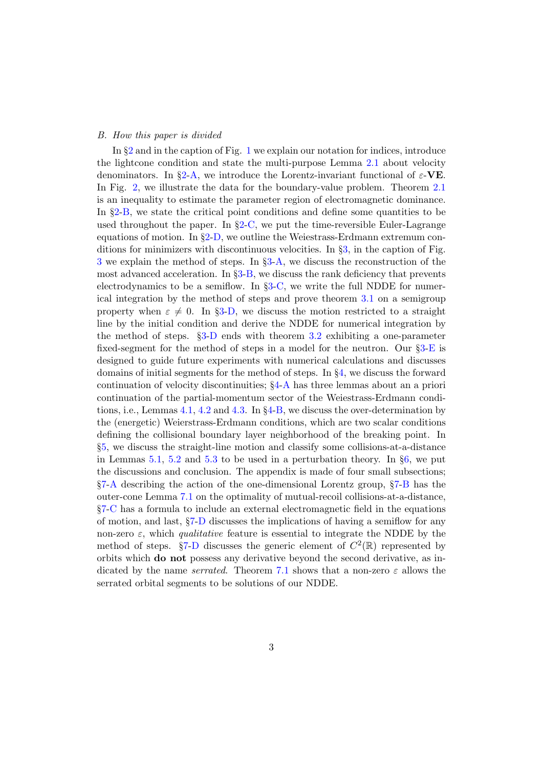# B. How this paper is divided

In §[2](#page-3-0) and in the caption of Fig. [1](#page-4-0) we explain our notation for indices, introduce the lightcone condition and state the multi-purpose Lemma [2.1](#page-4-1) about velocity denominators. In §[2-](#page-3-0)[A,](#page-5-0) we introduce the Lorentz-invariant functional of  $\varepsilon$ -VE. In Fig. [2,](#page-6-0) we illustrate the data for the boundary-value problem. Theorem [2.1](#page-7-0) is an inequality to estimate the parameter region of electromagnetic dominance. In §[2](#page-3-0)[-B,](#page-7-1) we state the critical point conditions and define some quantities to be used throughout the paper. In  $\S 2$ -[C,](#page-8-0) we put the time-reversible Euler-Lagrange equations of motion. In §[2](#page-3-0)[-D,](#page-10-0) we outline the Weiestrass-Erdmann extremum conditions for minimizers with discontinuous velocities. In §[3,](#page-10-1) in the caption of Fig. [3](#page-11-0) we explain the method of steps. In §[3](#page-10-1)[-A,](#page-10-2) we discuss the reconstruction of the most advanced acceleration. In §[3](#page-10-1)[-B,](#page-12-0) we discuss the rank deficiency that prevents electrodynamics to be a semiflow. In §[3](#page-10-1)[-C,](#page-13-0) we write the full NDDE for numerical integration by the method of steps and prove theorem [3.1](#page-14-0) on a semigroup property when  $\varepsilon \neq 0$ . In §[3-](#page-10-1)[D,](#page-14-1) we discuss the motion restricted to a straight line by the initial condition and derive the NDDE for numerical integration by the method of steps. §[3](#page-10-1)[-D](#page-14-1) ends with theorem [3.2](#page-16-0) exhibiting a one-parameter fixed-segment for the method of steps in a model for the neutron. Our §[3](#page-10-1)[-E](#page-17-0) is designed to guide future experiments with numerical calculations and discusses domains of initial segments for the method of steps. In §[4,](#page-18-0) we discuss the forward continuation of velocity discontinuities; §[4](#page-18-0)[-A](#page-18-1) has three lemmas about an a priori continuation of the partial-momentum sector of the Weiestrass-Erdmann conditions, i.e., Lemmas [4.1,](#page-19-0) [4.2](#page-20-0) and [4.3.](#page-21-0) In §[4-](#page-18-0)[B,](#page-22-0) we discuss the over-determination by the (energetic) Weierstrass-Erdmann conditions, which are two scalar conditions defining the collisional boundary layer neighborhood of the breaking point. In §[5,](#page-23-0) we discuss the straight-line motion and classify some collisions-at-a-distance in Lemmas [5.1,](#page-24-0) [5.2](#page-25-0) and [5.3](#page-26-0) to be used in a perturbation theory. In  $\S6$ , we put the discussions and conclusion. The appendix is made of four small subsections; §[7-](#page-28-0)[A](#page-28-1) describing the action of the one-dimensional Lorentz group, §[7](#page-28-0)[-B](#page-29-0) has the outer-cone Lemma [7.1](#page-29-1) on the optimality of mutual-recoil collisions-at-a-distance, §[7-](#page-28-0)[C](#page-30-0) has a formula to include an external electromagnetic field in the equations of motion, and last, §[7](#page-28-0)[-D](#page-30-1) discusses the implications of having a semiflow for any non-zero  $\varepsilon$ , which *qualitative* feature is essential to integrate the NDDE by the method of steps.  $\S7$  $\S7$ [-D](#page-30-1) discusses the generic element of  $C^2(\mathbb{R})$  represented by orbits which do not possess any derivative beyond the second derivative, as indicated by the name *serrated*. Theorem [7.1](#page-30-2) shows that a non-zero  $\varepsilon$  allows the serrated orbital segments to be solutions of our NDDE.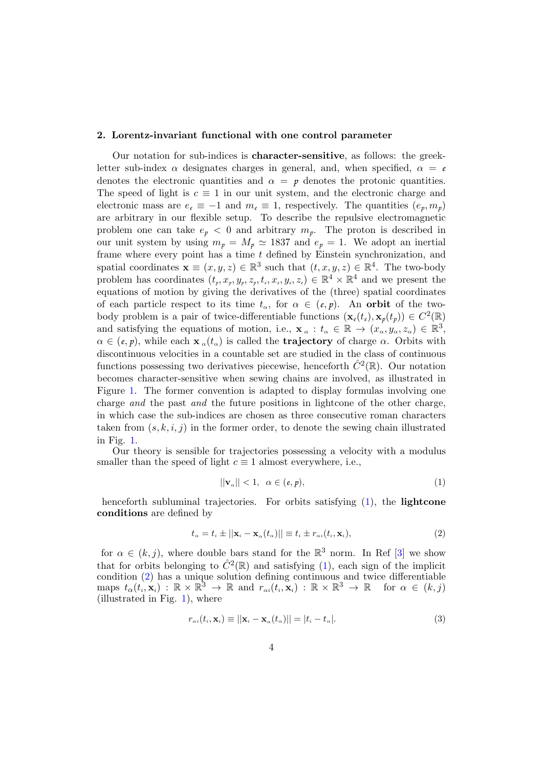# <span id="page-3-0"></span>2. Lorentz-invariant functional with one control parameter

Our notation for sub-indices is character-sensitive, as follows: the greekletter sub-index  $\alpha$  designates charges in general, and, when specified,  $\alpha = e$ denotes the electronic quantities and  $\alpha = p$  denotes the protonic quantities. The speed of light is  $c \equiv 1$  in our unit system, and the electronic charge and electronic mass are  $e_e \equiv -1$  and  $m_e \equiv 1$ , respectively. The quantities  $(e_p, m_p)$ are arbitrary in our flexible setup. To describe the repulsive electromagnetic problem one can take  $e_p < 0$  and arbitrary  $m_p$ . The proton is described in our unit system by using  $m_p = M_p \approx 1837$  and  $e_p = 1$ . We adopt an inertial frame where every point has a time  $t$  defined by Einstein synchronization, and spatial coordinates  $\mathbf{x} \equiv (x, y, z) \in \mathbb{R}^3$  such that  $(t, x, y, z) \in \mathbb{R}^4$ . The two-body problem has coordinates  $(t_p, x_p, y_p, z_p, t_e, x_e, y_e, z_e) \in \mathbb{R}^4 \times \mathbb{R}^4$  and we present the equations of motion by giving the derivatives of the (three) spatial coordinates of each particle respect to its time  $t_{\alpha}$ , for  $\alpha \in (e, p)$ . An orbit of the twobody problem is a pair of twice-differentiable functions  $(\mathbf{x}_{\ell}(t_{\ell}), \mathbf{x}_{p}(t_{p})) \in C^{2}(\mathbb{R})$ and satisfying the equations of motion, i.e.,  $\mathbf{x}_{\alpha}: t_{\alpha} \in \mathbb{R} \to (x_{\alpha}, y_{\alpha}, z_{\alpha}) \in \mathbb{R}^{3}$ ,  $\alpha \in (e, p)$ , while each  $\mathbf{x}_{\alpha}(t_{\alpha})$  is called the **trajectory** of charge  $\alpha$ . Orbits with discontinuous velocities in a countable set are studied in the class of continuous functions possessing two derivatives piecewise, henceforth  $\hat{C}^2(\mathbb{R})$ . Our notation becomes character-sensitive when sewing chains are involved, as illustrated in Figure [1.](#page-4-0) The former convention is adapted to display formulas involving one charge and the past and the future positions in lightcone of the other charge, in which case the sub-indices are chosen as three consecutive roman characters taken from  $(s, k, i, j)$  in the former order, to denote the sewing chain illustrated in Fig. [1.](#page-4-0)

Our theory is sensible for trajectories possessing a velocity with a modulus smaller than the speed of light  $c \equiv 1$  almost everywhere, i.e.,

<span id="page-3-1"></span>
$$
||\mathbf{v}_{\alpha}|| < 1, \ \alpha \in (e, p), \tag{1}
$$

henceforth subluminal trajectories. For orbits satisfying  $(1)$ , the **lightcone** conditions are defined by

<span id="page-3-2"></span>
$$
t_{\alpha} = t_i \pm ||\mathbf{x}_i - \mathbf{x}_{\alpha}(t_{\alpha})|| \equiv t_i \pm r_{\alpha i}(t_i, \mathbf{x}_i), \tag{2}
$$

for  $\alpha \in (k, j)$ , where double bars stand for the  $\mathbb{R}^3$  norm. In Ref [\[3\]](#page-31-1) we show that for orbits belonging to  $\hat{C}^2(\mathbb{R})$  and satisfying [\(1\)](#page-3-1), each sign of the implicit condition [\(2\)](#page-3-2) has a unique solution defining continuous and twice differentiable  $\text{maps} \, t_{\alpha}(t_i, \mathbf{x}_i) : \mathbb{R} \times \mathbb{R}^3 \to \mathbb{R} \, \text{ and } \, r_{\alpha i}(t_i, \mathbf{x}_i) : \mathbb{R} \times \mathbb{R}^3 \to \mathbb{R} \, \text{ for } \alpha \in (k, j)$ (illustrated in Fig. [1\)](#page-4-0), where

<span id="page-3-3"></span>
$$
r_{\alpha i}(t_i, \mathbf{x}_i) \equiv ||\mathbf{x}_i - \mathbf{x}_{\alpha}(t_{\alpha})|| = |t_i - t_{\alpha}|. \tag{3}
$$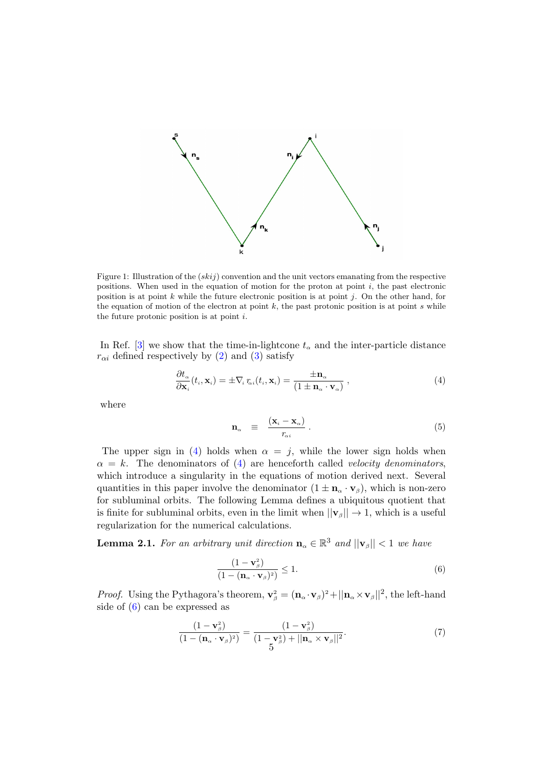

<span id="page-4-0"></span>Figure 1: Illustration of the  $(skij)$  convention and the unit vectors emanating from the respective positions. When used in the equation of motion for the proton at point  $i$ , the past electronic position is at point k while the future electronic position is at point j. On the other hand, for the equation of motion of the electron at point  $k$ , the past protonic position is at point  $s$  while the future protonic position is at point  $i$ .

In Ref. [\[3\]](#page-31-1) we show that the time-in-lightcone  $t_{\alpha}$  and the inter-particle distance  $r_{\alpha i}$  defined respectively by [\(2\)](#page-3-2) and [\(3\)](#page-3-3) satisfy

<span id="page-4-2"></span>
$$
\frac{\partial t_{\alpha}}{\partial \mathbf{x}_{i}}(t_{i}, \mathbf{x}_{i}) = \pm \nabla_{i} r_{\alpha i}(t_{i}, \mathbf{x}_{i}) = \frac{\pm \mathbf{n}_{\alpha}}{(1 \pm \mathbf{n}_{\alpha} \cdot \mathbf{v}_{\alpha})},
$$
\n(4)

where

<span id="page-4-5"></span>
$$
\mathbf{n}_{\alpha} \equiv \frac{(\mathbf{x}_{i} - \mathbf{x}_{\alpha})}{r_{\alpha i}} \,. \tag{5}
$$

The upper sign in [\(4\)](#page-4-2) holds when  $\alpha = j$ , while the lower sign holds when  $\alpha = k$ . The denominators of [\(4\)](#page-4-2) are henceforth called velocity denominators, which introduce a singularity in the equations of motion derived next. Several quantities in this paper involve the denominator  $(1 \pm \mathbf{n}_{\alpha} \cdot \mathbf{v}_{\beta})$ , which is non-zero for subluminal orbits. The following Lemma defines a ubiquitous quotient that is finite for subluminal orbits, even in the limit when  $||\mathbf{v}_{\beta}|| \rightarrow 1$ , which is a useful regularization for the numerical calculations.

<span id="page-4-1"></span>**Lemma 2.1.** For an arbitrary unit direction  $\mathbf{n}_{\alpha} \in \mathbb{R}^{3}$  and  $||\mathbf{v}_{\beta}|| < 1$  we have

<span id="page-4-3"></span>
$$
\frac{(1-\mathbf{v}_{\beta}^2)}{(1-(\mathbf{n}_{\alpha}\cdot\mathbf{v}_{\beta})^2)}\leq 1.
$$
\n(6)

*Proof.* Using the Pythagora's theorem,  $\mathbf{v}_{\beta}^2 = (\mathbf{n}_{\alpha} \cdot \mathbf{v}_{\beta})^2 + ||\mathbf{n}_{\alpha} \times \mathbf{v}_{\beta}||^2$ , the left-hand side of [\(6\)](#page-4-3) can be expressed as

<span id="page-4-4"></span>
$$
\frac{(1-\mathbf{v}_{\beta}^2)}{(1-(\mathbf{n}_{\alpha}\cdot\mathbf{v}_{\beta})^2)} = \frac{(1-\mathbf{v}_{\beta}^2)}{(1-\mathbf{v}_{\beta}^2)+||\mathbf{n}_{\alpha}\times\mathbf{v}_{\beta}||^2}.
$$
\n(7)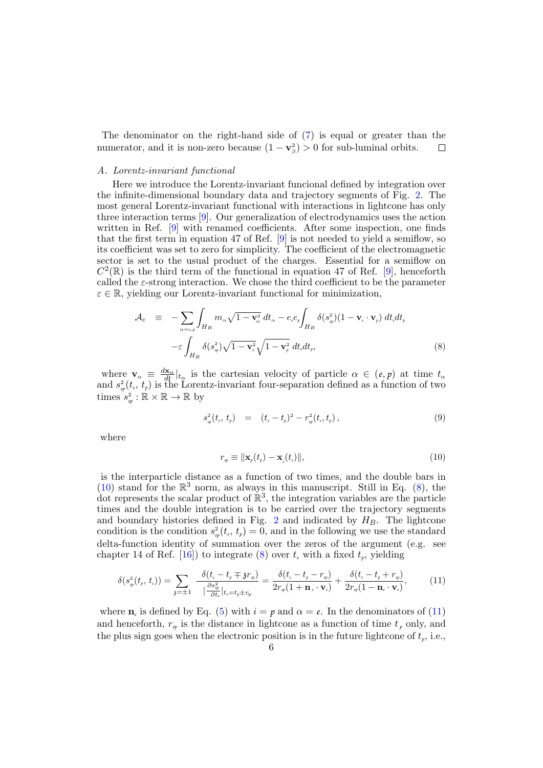The denominator on the right-hand side of [\(7\)](#page-4-4) is equal or greater than the numerator, and it is non-zero because  $(1 - v_\beta^2) > 0$  for sub-luminal orbits.  $\Box$ 

#### <span id="page-5-0"></span>A. Lorentz-invariant functional

Here we introduce the Lorentz-invariant funcional defined by integration over the infinite-dimensional boundary data and trajectory segments of Fig. [2.](#page-6-0) The most general Lorentz-invariant functional with interactions in lightcone has only three interaction terms [\[9\]](#page-31-5). Our generalization of electrodynamics uses the action written in Ref. [\[9\]](#page-31-5) with renamed coefficients. After some inspection, one finds that the first term in equation 47 of Ref. [\[9\]](#page-31-5) is not needed to yield a semiflow, so its coefficient was set to zero for simplicity. The coefficient of the electromagnetic sector is set to the usual product of the charges. Essential for a semiflow on  $C^2(\mathbb{R})$  is the third term of the functional in equation 47 of Ref. [\[9\]](#page-31-5), henceforth called the  $\varepsilon$ -strong interaction. We chose the third coefficient to be the parameter  $\varepsilon \in \mathbb{R}$ , yielding our Lorentz-invariant functional for minimization,

<span id="page-5-2"></span>
$$
\mathcal{A}_{\varepsilon} = -\sum_{\alpha=\epsilon,p} \int_{H_B} m_{\alpha} \sqrt{1 - \mathbf{v}_{\alpha}^2} dt_{\alpha} - e_{\epsilon} e_p \int_{H_B} \delta(s_p^2) (1 - \mathbf{v}_{\epsilon} \cdot \mathbf{v}_p) dt_{\epsilon} dt_p
$$

$$
- \varepsilon \int_{H_B} \delta(s_{\varphi}^2) \sqrt{1 - \mathbf{v}_{\epsilon}^2} \sqrt{1 - \mathbf{v}_{p}^2} dt_{\epsilon} dt_p, \tag{8}
$$

where  $\mathbf{v}_{\alpha} \equiv \frac{d\mathbf{x}_{\alpha}}{dt} |_{t_{\alpha}}$  is the cartesian velocity of particle  $\alpha \in (e, p)$  at time  $t_{\alpha}$ and  $s^2_{\varphi}(t_e, t_p)$  is the Lorentz-invariant four-separation defined as a function of two times  $s_{ep}^2 : \mathbb{R} \times \mathbb{R} \to \mathbb{R}$  by

$$
s_{\varphi}^{2}(t_{\iota}, t_{p}) = (t_{\iota} - t_{p})^{2} - r_{\varphi}^{2}(t_{\iota}, t_{p}), \qquad (9)
$$

where

<span id="page-5-1"></span>
$$
r_{\scriptscriptstyle{ep}} \equiv \|\mathbf{x}_{\scriptscriptstyle{p}}(t_{\scriptscriptstyle{p}}) - \mathbf{x}_{\scriptscriptstyle{e}}(t_{\scriptscriptstyle{e}})\|,\tag{10}
$$

is the interparticle distance as a function of two times, and the double bars in [\(10\)](#page-5-1) stand for the  $\mathbb{R}^3$  norm, as always in this manuscript. Still in Eq. [\(8\)](#page-5-2), the dot represents the scalar product of  $\mathbb{R}^3$ , the integration variables are the particle times and the double integration is to be carried over the trajectory segments and boundary histories defined in Fig. [2](#page-6-0) and indicated by  $H_B$ . The lightcone condition is the condition  $s^2_{\varphi}(t_{\epsilon}, t_{\rho}) = 0$ , and in the following we use the standard delta-function identity of summation over the zeros of the argument (e.g. see chapter 14 of Ref.  $[16]$ ) to integrate  $(8)$  over  $t_{\ell}$  with a fixed  $t_p$ , yielding

<span id="page-5-3"></span>
$$
\delta(s_{\varphi}^{2}(t_{p}, t_{\iota})) = \sum_{\mathfrak{z}=\pm 1} \frac{\delta(t_{\iota} - t_{p} \mp \mathfrak{z} r_{\varphi})}{|\frac{\partial s_{\varphi}^{2}}{\partial t_{\iota}}|_{t_{\iota} = t_{p} \pm r_{\varphi}}} = \frac{\delta(t_{\iota} - t_{p} - r_{\varphi})}{2r_{\varphi}(1 + \mathbf{n}_{\iota} \cdot \mathbf{v}_{\iota})} + \frac{\delta(t_{\iota} - t_{p} + r_{\varphi})}{2r_{\varphi}(1 - \mathbf{n}_{\iota} \cdot \mathbf{v}_{\iota})},\tag{11}
$$

where  $\mathbf{n}_i$  is defined by Eq. [\(5\)](#page-4-5) with  $i = p$  and  $\alpha = e$ . In the denominators of [\(11\)](#page-5-3) and henceforth,  $r_{\nu}$  is the distance in lightcone as a function of time  $t_{\nu}$  only, and the plus sign goes when the electronic position is in the future lightcone of  $t<sub>p</sub>$ , i.e.,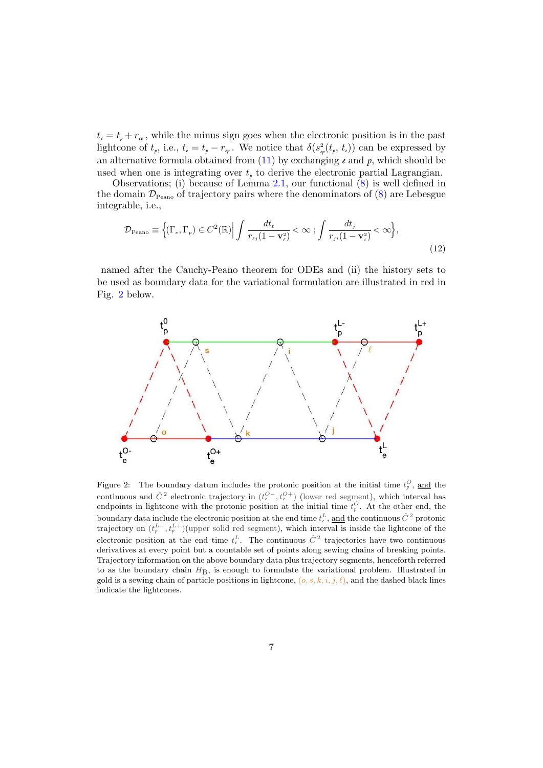$t_{\epsilon} = t_p + r_{\epsilon_p}$ , while the minus sign goes when the electronic position is in the past lightcone of  $t_p$ , i.e.,  $t_e = t_p - r_{ep}$ . We notice that  $\delta(s_p^2(t_p, t_e))$  can be expressed by an alternative formula obtained from  $(11)$  by exchanging  $e$  and  $p$ , which should be used when one is integrating over  $t<sub>p</sub>$  to derive the electronic partial Lagrangian.

Observations; (i) because of Lemma [2.1,](#page-4-1) our functional [\(8\)](#page-5-2) is well defined in the domain  $\mathcal{D}_{\text{Peano}}$  of trajectory pairs where the denominators of  $(8)$  are Lebesgue integrable, i.e.,

<span id="page-6-1"></span>
$$
\mathcal{D}_{\text{Peano}} \equiv \left\{ (\Gamma_e, \Gamma_p) \in C^2(\mathbb{R}) \middle| \int \frac{dt_\ell}{r_{\ell j} (1 - \mathbf{v}_\ell^2)} < \infty \right\} \frac{dt_j}{r_{j i} (1 - \mathbf{v}_i^2)} < \infty \right\},\tag{12}
$$

named after the Cauchy-Peano theorem for ODEs and (ii) the history sets to be used as boundary data for the variational formulation are illustrated in red in Fig. [2](#page-6-0) below.



<span id="page-6-0"></span>Figure 2: The boundary datum includes the protonic position at the initial time  $t_p^O$ , and the continuous and  $\hat{C}^2$  electronic trajectory in  $(t_e^{O-}, t_e^{O+})$  (lower red segment), which interval has endpoints in lightcone with the protonic position at the initial time  $t_p^O$ . At the other end, the boundary data include the electronic position at the end time  $t_{\epsilon}^L$ , <u>and</u> the continuous  $\hat{C}^{\, 2}$  protonic trajectory on  $(t_p^L, t_p^L)$  (upper solid red segment), which interval is inside the lightcone of the electronic position at the end time  $t_{\epsilon}^L$ . The continuous  $\hat{C}^2$  trajectories have two continuous derivatives at every point but a countable set of points along sewing chains of breaking points. Trajectory information on the above boundary data plus trajectory segments, henceforth referred to as the boundary chain  $H<sub>B</sub>$ , is enough to formulate the variational problem. Illustrated in gold is a sewing chain of particle positions in lightcone,  $(o, s, k, i, j, \ell)$ , and the dashed black lines indicate the lightcones.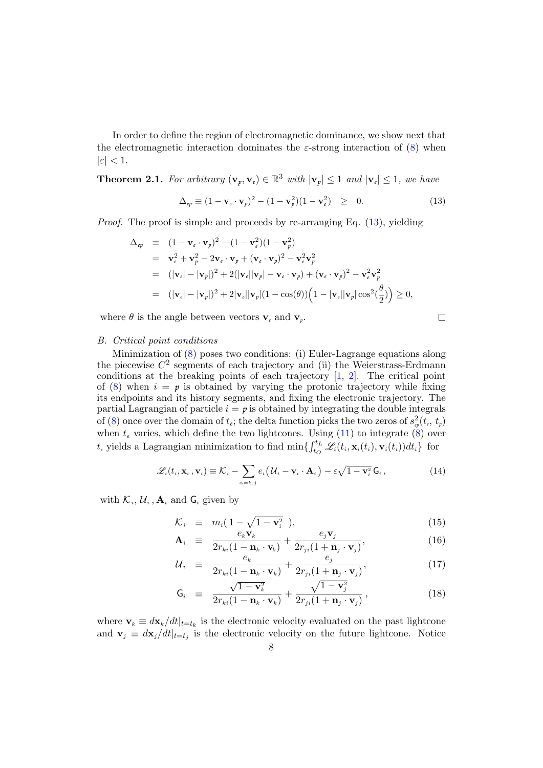In order to define the region of electromagnetic dominance, we show next that the electromagnetic interaction dominates the  $\varepsilon$ -strong interaction of [\(8\)](#page-5-2) when  $|\varepsilon|$  < 1.

<span id="page-7-0"></span>**Theorem 2.1.** For arbitrary  $(\mathbf{v}_p, \mathbf{v}_e) \in \mathbb{R}^3$  with  $|\mathbf{v}_p| \leq 1$  and  $|\mathbf{v}_e| \leq 1$ , we have

<span id="page-7-2"></span>
$$
\Delta_{ep} \equiv (1 - \mathbf{v}_e \cdot \mathbf{v}_p)^2 - (1 - \mathbf{v}_p^2)(1 - \mathbf{v}_e^2) \ge 0.
$$
 (13)

*Proof.* The proof is simple and proceeds by re-arranging Eq.  $(13)$ , yielding

$$
\Delta_{ep} \equiv (1 - \mathbf{v}_e \cdot \mathbf{v}_p)^2 - (1 - \mathbf{v}_e^2)(1 - \mathbf{v}_p^2)
$$
  
\n
$$
= \mathbf{v}_e^2 + \mathbf{v}_p^2 - 2\mathbf{v}_e \cdot \mathbf{v}_p + (\mathbf{v}_e \cdot \mathbf{v}_p)^2 - \mathbf{v}_e^2 \mathbf{v}_p^2
$$
  
\n
$$
= (|\mathbf{v}_e| - |\mathbf{v}_p|)^2 + 2(|\mathbf{v}_e||\mathbf{v}_p| - \mathbf{v}_e \cdot \mathbf{v}_p) + (\mathbf{v}_e \cdot \mathbf{v}_p)^2 - \mathbf{v}_e^2 \mathbf{v}_p^2
$$
  
\n
$$
= (|\mathbf{v}_e| - |\mathbf{v}_p|)^2 + 2|\mathbf{v}_e||\mathbf{v}_p|(1 - \cos(\theta))\left(1 - |\mathbf{v}_e||\mathbf{v}_p|\cos^2(\frac{\theta}{2})\right) \ge 0,
$$

where  $\theta$  is the angle between vectors  $\mathbf{v}_e$  and  $\mathbf{v}_p$ .

$$
\Box
$$

# <span id="page-7-1"></span>B. Critical point conditions

Minimization of [\(8\)](#page-5-2) poses two conditions: (i) Euler-Lagrange equations along the piecewise  $C^2$  segments of each trajectory and (ii) the Weierstrass-Erdmann conditions at the breaking points of each trajectory [\[1,](#page-31-0) [2\]](#page-31-6). The critical point of  $(8)$  when  $i = p$  is obtained by varying the protonic trajectory while fixing its endpoints and its history segments, and fixing the electronic trajectory. The partial Lagrangian of particle  $i = p$  is obtained by integrating the double integrals of [\(8\)](#page-5-2) once over the domain of  $t_e$ ; the delta function picks the two zeros of  $s_{ep}^2(t_e, t_p)$ when  $t_e$  varies, which define the two lightcones. Using  $(11)$  to integrate  $(8)$  over  $t_i$  yields a Lagrangian minimization to find  $\min\{ \int_{t_O}^{t_L} \mathcal{L}_i(t_i, \mathbf{x}_i(t_i), \mathbf{v}_i(t_i)) dt_i \}$  for

<span id="page-7-3"></span>
$$
\mathscr{L}_i(t_i, \mathbf{x}_i, \mathbf{v}_i) \equiv \mathcal{K}_i - \sum_{\alpha = k, j} e_i (U_i - \mathbf{v}_i \cdot \mathbf{A}_i) - \varepsilon \sqrt{1 - \mathbf{v}_i^2} \mathbf{G}_i, \qquad (14)
$$

with  $\mathcal{K}_i$ ,  $\mathcal{U}_i$ ,  $\mathbf{A}_i$  and  $\mathbf{G}_i$  given by

<span id="page-7-4"></span>
$$
\mathcal{K}_i \equiv m_i \left( 1 - \sqrt{1 - \mathbf{v}_i^2} \right), \tag{15}
$$

$$
\mathbf{A}_{i} \equiv \frac{e_{k} \mathbf{v}_{k}}{2r_{ki}(1 - \mathbf{n}_{k} \cdot \mathbf{v}_{k})} + \frac{e_{j} \mathbf{v}_{j}}{2r_{ji}(1 + \mathbf{n}_{j} \cdot \mathbf{v}_{j})}, \qquad (16)
$$

$$
\mathcal{U}_i \equiv \frac{e_k}{2r_{ki}(1-\mathbf{n}_k \cdot \mathbf{v}_k)} + \frac{e_j}{2r_{ji}(1+\mathbf{n}_j \cdot \mathbf{v}_j)},\tag{17}
$$

$$
\mathbf{G}_i \equiv \frac{\sqrt{1-\mathbf{v}_k^2}}{2r_{ki}(1-\mathbf{n}_k\cdot\mathbf{v}_k)} + \frac{\sqrt{1-\mathbf{v}_j^2}}{2r_{ji}(1+\mathbf{n}_j\cdot\mathbf{v}_j)},
$$
(18)

where  $\mathbf{v}_k \equiv d\mathbf{x}_k/dt|_{t=t_k}$  is the electronic velocity evaluated on the past lightcone and  $\mathbf{v}_j \equiv d\mathbf{x}_j/dt|_{t=t_j}$  is the electronic velocity on the future lightcone. Notice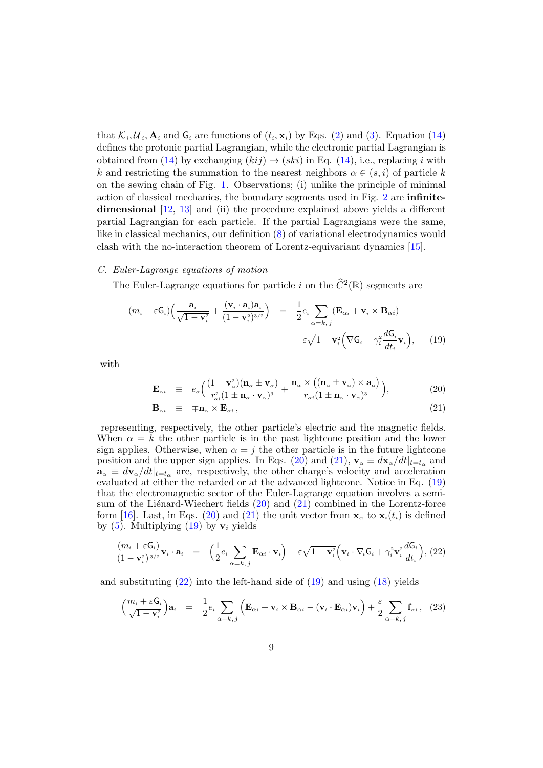that  $\mathcal{K}_i, \mathcal{U}_i, \mathbf{A}_i$  and  $\mathbf{G}_i$  are functions of  $(t_i, \mathbf{x}_i)$  by Eqs. [\(2\)](#page-3-2) and [\(3\)](#page-3-3). Equation [\(14\)](#page-7-3) defines the protonic partial Lagrangian, while the electronic partial Lagrangian is obtained from [\(14\)](#page-7-3) by exchanging  $(kij) \rightarrow (ski)$  in Eq. (14), i.e., replacing i with k and restricting the summation to the nearest neighbors  $\alpha \in (s, i)$  of particle k on the sewing chain of Fig. [1.](#page-4-0) Observations; (i) unlike the principle of minimal action of classical mechanics, the boundary segments used in Fig. [2](#page-6-0) are infinitedimensional [\[12,](#page-32-2) [13\]](#page-32-3) and (ii) the procedure explained above yields a different partial Lagrangian for each particle. If the partial Lagrangians were the same, like in classical mechanics, our definition [\(8\)](#page-5-2) of variational electrodynamics would clash with the no-interaction theorem of Lorentz-equivariant dynamics [\[15\]](#page-32-6).

# <span id="page-8-0"></span>C. Euler-Lagrange equations of motion

The Euler-Lagrange equations for particle *i* on the  $\hat{C}^2(\mathbb{R})$  segments are

<span id="page-8-2"></span>
$$
(m_i + \varepsilon \mathsf{G}_i) \Big( \frac{\mathbf{a}_i}{\sqrt{1 - \mathbf{v}_i^2}} + \frac{(\mathbf{v}_i \cdot \mathbf{a}_i) \mathbf{a}_i}{(1 - \mathbf{v}_i^2)^{3/2}} \Big) = \frac{1}{2} e_i \sum_{\alpha = k, j} (\mathbf{E}_{\alpha i} + \mathbf{v}_i \times \mathbf{B}_{\alpha i})
$$

$$
- \varepsilon \sqrt{1 - \mathbf{v}_i^2} \Big( \nabla \mathsf{G}_i + \gamma_i^2 \frac{d \mathsf{G}_i}{dt_i} \mathbf{v}_i \Big), \qquad (19)
$$

with

<span id="page-8-1"></span>
$$
\mathbf{E}_{\alpha i} \equiv e_{\alpha} \Big( \frac{(1 - \mathbf{v}_{\alpha}^2)(\mathbf{n}_{\alpha} \pm \mathbf{v}_{\alpha})}{r_{\alpha i}^2 (1 \pm \mathbf{n}_{\alpha} \cdot \mathbf{v}_{\alpha})^3} + \frac{\mathbf{n}_{\alpha} \times ((\mathbf{n}_{\alpha} \pm \mathbf{v}_{\alpha}) \times \mathbf{a}_{\alpha})}{r_{\alpha i} (1 \pm \mathbf{n}_{\alpha} \cdot \mathbf{v}_{\alpha})^3} \Big), \tag{20}
$$

$$
\mathbf{B}_{\alpha i} \equiv \mp \mathbf{n}_{\alpha} \times \mathbf{E}_{\alpha i} \,, \tag{21}
$$

representing, respectively, the other particle's electric and the magnetic fields. When  $\alpha = k$  the other particle is in the past lightcone position and the lower sign applies. Otherwise, when  $\alpha = j$  the other particle is in the future lightcone position and the upper sign applies. In Eqs. [\(20\)](#page-8-1) and [\(21\)](#page-8-1),  $\mathbf{v}_{\alpha} \equiv d\mathbf{x}_{\alpha}/dt|_{t=t_{\alpha}}$  and  $\mathbf{a}_{\alpha} \equiv d\mathbf{v}_{\alpha}/dt|_{t=t_{\alpha}}$  are, respectively, the other charge's velocity and acceleration evaluated at either the retarded or at the advanced lightcone. Notice in Eq. [\(19\)](#page-8-2) that the electromagnetic sector of the Euler-Lagrange equation involves a semisum of the Liénard-Wiechert fields  $(20)$  and  $(21)$  combined in the Lorentz-force form [\[16\]](#page-32-5). Last, in Eqs. [\(20\)](#page-8-1) and [\(21\)](#page-8-1) the unit vector from  $\mathbf{x}_{\alpha}$  to  $\mathbf{x}_{i}(t_i)$  is defined by  $(5)$ . Multiplying  $(19)$  by  $v_i$  yields

<span id="page-8-3"></span>
$$
\frac{(m_i + \varepsilon \mathsf{G}_i)}{(1 - \mathbf{v}_i^2)^{3/2}} \mathbf{v}_i \cdot \mathbf{a}_i = \left( \frac{1}{2} e_i \sum_{\alpha = k, j} \mathbf{E}_{\alpha i} \cdot \mathbf{v}_i \right) - \varepsilon \sqrt{1 - \mathbf{v}_i^2} \left( \mathbf{v}_i \cdot \nabla_i \mathsf{G}_i + \gamma_i^2 \mathbf{v}_i^2 \frac{d \mathsf{G}_i}{d t_i} \right), (22)
$$

and substituting  $(22)$  into the left-hand side of  $(19)$  and using  $(18)$  yields

<span id="page-8-4"></span>
$$
\left(\frac{m_i + \varepsilon \mathsf{G}_i}{\sqrt{1 - \mathbf{v}_i^2}}\right) \mathbf{a}_i = \frac{1}{2} e_i \sum_{\alpha = k, j} \left(\mathbf{E}_{\alpha i} + \mathbf{v}_i \times \mathbf{B}_{\alpha i} - (\mathbf{v}_i \cdot \mathbf{E}_{\alpha i}) \mathbf{v}_i\right) + \frac{\varepsilon}{2} \sum_{\alpha = k, j} \mathbf{f}_{\alpha i} , \quad (23)
$$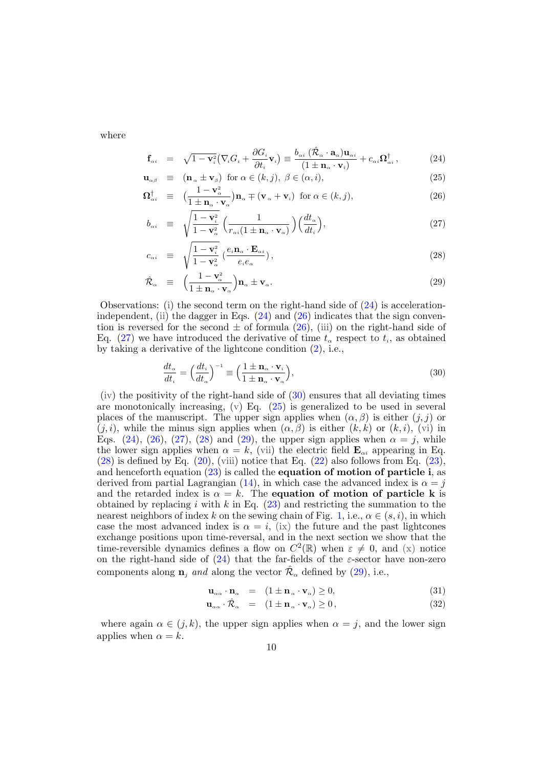where

<span id="page-9-0"></span>
$$
\mathbf{f}_{\alpha i} = \sqrt{1 - \mathbf{v}_{i}^{2}} \big( \nabla_{i} G_{i} + \frac{\partial G_{i}}{\partial t_{i}} \mathbf{v}_{i} \big) \equiv \frac{b_{\alpha i} \left( \hat{\mathcal{R}}_{\alpha} \cdot \mathbf{a}_{\alpha} \right) \mathbf{u}_{\alpha i}}{\left( 1 \pm \mathbf{n}_{\alpha} \cdot \mathbf{v}_{i} \right)} + c_{\alpha i} \Omega_{\alpha i}^{\dagger} , \tag{24}
$$

$$
\mathbf{u}_{\alpha\beta} \equiv (\mathbf{n}_{\alpha} \pm \mathbf{v}_{\beta}) \text{ for } \alpha \in (k, j), \ \beta \in (\alpha, i), \tag{25}
$$

$$
\Omega_{\alpha i}^{\dagger} \equiv \left( \frac{1 - \mathbf{v}_{\alpha}^2}{1 \pm \mathbf{n}_{\alpha} \cdot \mathbf{v}_{\alpha}} \right) \mathbf{n}_{\alpha} \mp (\mathbf{v}_{\alpha} + \mathbf{v}_{i}) \text{ for } \alpha \in (k, j), \tag{26}
$$

$$
b_{\alpha i} \equiv \sqrt{\frac{1 - \mathbf{v}_i^2}{1 - \mathbf{v}_\alpha^2}} \left( \frac{1}{r_{\alpha i} (1 \pm \mathbf{n}_\alpha \cdot \mathbf{v}_\alpha)} \right) \left( \frac{dt_\alpha}{dt_i} \right), \tag{27}
$$

$$
c_{\alpha i} \equiv \sqrt{\frac{1 - \mathbf{v}_i^2}{1 - \mathbf{v}_\alpha^2}} \left( \frac{e_i \mathbf{n}_\alpha \cdot \mathbf{E}_{\alpha i}}{e_i e_\alpha} \right), \tag{28}
$$

$$
\hat{\mathcal{R}}_{\alpha} \equiv \left( \frac{1 - \mathbf{v}_{\alpha}^2}{1 \pm \mathbf{n}_{\alpha} \cdot \mathbf{v}_{\alpha}} \right) \mathbf{n}_{\alpha} \pm \mathbf{v}_{\alpha}.
$$
\n(29)

Observations: (i) the second term on the right-hand side of  $(24)$  is accelerationindependent, (ii) the dagger in Eqs.  $(24)$  and  $(26)$  indicates that the sign convention is reversed for the second  $\pm$  of formula [\(26\)](#page-9-0), (iii) on the right-hand side of Eq. [\(27\)](#page-9-0) we have introduced the derivative of time  $t_{\alpha}$  respect to  $t_i$ , as obtained by taking a derivative of the lightcone condition [\(2\)](#page-3-2), i.e.,

<span id="page-9-1"></span>
$$
\frac{dt_{\alpha}}{dt_{i}} = \left(\frac{dt_{i}}{dt_{\alpha}}\right)^{-1} \equiv \left(\frac{1 \pm \mathbf{n}_{\alpha} \cdot \mathbf{v}_{i}}{1 \pm \mathbf{n}_{\alpha} \cdot \mathbf{v}_{\alpha}}\right),\tag{30}
$$

 $(iv)$  the positivity of the right-hand side of  $(30)$  ensures that all deviating times are monotonically increasing,  $(v)$  Eq. [\(25\)](#page-9-0) is generalized to be used in several places of the manuscript. The upper sign applies when  $(\alpha, \beta)$  is either  $(j, j)$  or  $(j, i)$ , while the minus sign applies when  $(\alpha, \beta)$  is either  $(k, k)$  or  $(k, i)$ , (vi) in Eqs. [\(24\)](#page-9-0), [\(26\)](#page-9-0), [\(27\)](#page-9-0), [\(28\)](#page-9-0) and [\(29\)](#page-9-0), the upper sign applies when  $\alpha = j$ , while the lower sign applies when  $\alpha = k$ , (vii) the electric field  $\mathbf{E}_{\alpha i}$  appearing in Eq.  $(28)$  is defined by Eq.  $(20)$ , (viii) notice that Eq.  $(22)$  also follows from Eq.  $(23)$ , and henceforth equation  $(23)$  is called the **equation of motion of particle i**, as derived from partial Lagrangian [\(14\)](#page-7-3), in which case the advanced index is  $\alpha = j$ and the retarded index is  $\alpha = k$ . The equation of motion of particle k is obtained by replacing i with  $k$  in Eq. [\(23\)](#page-8-4) and restricting the summation to the nearest neighbors of index k on the sewing chain of Fig. [1,](#page-4-0) i.e.,  $\alpha \in (s, i)$ , in which case the most advanced index is  $\alpha = i$ , (ix) the future and the past lightcones exchange positions upon time-reversal, and in the next section we show that the time-reversible dynamics defines a flow on  $C^2(\mathbb{R})$  when  $\varepsilon \neq 0$ , and (x) notice on the right-hand side of  $(24)$  that the far-fields of the  $\varepsilon$ -sector have non-zero components along  $\mathbf{n}_j$  and along the vector  $\hat{\mathcal{R}}_{\alpha}$  defined by [\(29\)](#page-9-0), i.e.,

$$
\mathbf{u}_{\alpha\alpha} \cdot \mathbf{n}_{\alpha} = (1 \pm \mathbf{n}_{\alpha} \cdot \mathbf{v}_{\alpha}) \ge 0, \tag{31}
$$

$$
\mathbf{u}_{\alpha\alpha} \cdot \hat{\mathcal{R}}_{\alpha} = (1 \pm \mathbf{n}_{\alpha} \cdot \mathbf{v}_{\alpha}) \ge 0, \qquad (32)
$$

where again  $\alpha \in (j, k)$ , the upper sign applies when  $\alpha = j$ , and the lower sign applies when  $\alpha = k$ .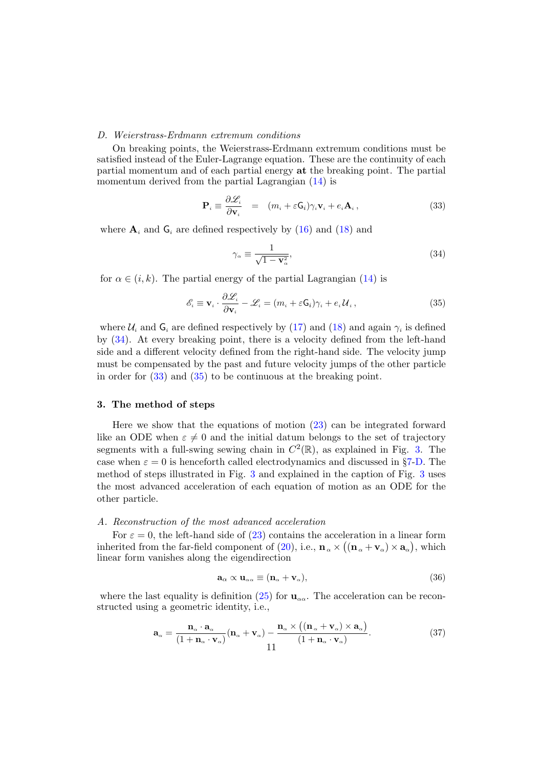# <span id="page-10-0"></span>D. Weierstrass-Erdmann extremum conditions

On breaking points, the Weierstrass-Erdmann extremum conditions must be satisfied instead of the Euler-Lagrange equation. These are the continuity of each partial momentum and of each partial energy at the breaking point. The partial momentum derived from the partial Lagrangian  $(14)$  is

<span id="page-10-4"></span>
$$
\mathbf{P}_{i} \equiv \frac{\partial \mathcal{L}_{i}}{\partial \mathbf{v}_{i}} = (m_{i} + \varepsilon \mathbf{G}_{i}) \gamma_{i} \mathbf{v}_{i} + e_{i} \mathbf{A}_{i}, \qquad (33)
$$

where  $A_i$  and  $G_i$  are defined respectively by [\(16\)](#page-7-4) and [\(18\)](#page-7-4) and

<span id="page-10-3"></span>
$$
\gamma_{\alpha} \equiv \frac{1}{\sqrt{1 - \mathbf{v}_{\alpha}^2}},\tag{34}
$$

for  $\alpha \in (i, k)$ . The partial energy of the partial Lagrangian [\(14\)](#page-7-3) is

<span id="page-10-5"></span>
$$
\mathcal{E}_i \equiv \mathbf{v}_i \cdot \frac{\partial \mathcal{L}_i}{\partial \mathbf{v}_i} - \mathcal{L}_i = (m_i + \varepsilon \mathsf{G}_i) \gamma_i + e_i \mathcal{U}_i, \qquad (35)
$$

where  $\mathcal{U}_i$  and  $\mathsf{G}_i$  are defined respectively by [\(17\)](#page-7-4) and [\(18\)](#page-7-4) and again  $\gamma_i$  is defined by [\(34\)](#page-10-3). At every breaking point, there is a velocity defined from the left-hand side and a different velocity defined from the right-hand side. The velocity jump must be compensated by the past and future velocity jumps of the other particle in order for [\(33\)](#page-10-4) and [\(35\)](#page-10-5) to be continuous at the breaking point.

# <span id="page-10-1"></span>3. The method of steps

Here we show that the equations of motion [\(23\)](#page-8-4) can be integrated forward like an ODE when  $\varepsilon \neq 0$  and the initial datum belongs to the set of trajectory segments with a full-swing sewing chain in  $C^2(\mathbb{R})$ , as explained in Fig. [3.](#page-11-0) The case when  $\varepsilon = 0$  is henceforth called electrodynamics and discussed in §[7](#page-28-0)[-D.](#page-30-1) The method of steps illustrated in Fig. [3](#page-11-0) and explained in the caption of Fig. [3](#page-11-0) uses the most advanced acceleration of each equation of motion as an ODE for the other particle.

#### <span id="page-10-2"></span>A. Reconstruction of the most advanced acceleration

For  $\varepsilon = 0$ , the left-hand side of [\(23\)](#page-8-4) contains the acceleration in a linear form inherited from the far-field component of [\(20\)](#page-8-1), i.e.,  $\mathbf{n}_{\alpha} \times ((\mathbf{n}_{\alpha} + \mathbf{v}_{\alpha}) \times \mathbf{a}_{\alpha})$ , which linear form vanishes along the eigendirection

<span id="page-10-7"></span>
$$
\mathbf{a}_{\alpha} \propto \mathbf{u}_{\alpha\alpha} \equiv (\mathbf{n}_{\alpha} + \mathbf{v}_{\alpha}), \tag{36}
$$

where the last equality is definition [\(25\)](#page-9-0) for  $\mathbf{u}_{\alpha\alpha}$ . The acceleration can be reconstructed using a geometric identity, i.e.,

<span id="page-10-6"></span>
$$
\mathbf{a}_{\alpha} = \frac{\mathbf{n}_{\alpha} \cdot \mathbf{a}_{\alpha}}{(1 + \mathbf{n}_{\alpha} \cdot \mathbf{v}_{\alpha})} (\mathbf{n}_{\alpha} + \mathbf{v}_{\alpha}) - \frac{\mathbf{n}_{\alpha} \times ((\mathbf{n}_{\alpha} + \mathbf{v}_{\alpha}) \times \mathbf{a}_{\alpha})}{(1 + \mathbf{n}_{\alpha} \cdot \mathbf{v}_{\alpha})}.
$$
(37)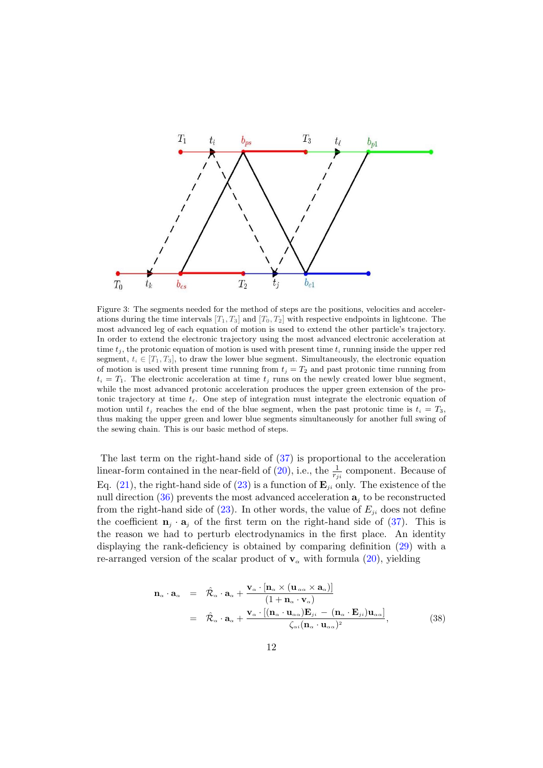

<span id="page-11-0"></span>Figure 3: The segments needed for the method of steps are the positions, velocities and accelerations during the time intervals  $[T_1, T_3]$  and  $[T_0, T_2]$  with respective endpoints in lightcone. The most advanced leg of each equation of motion is used to extend the other particle's trajectory. In order to extend the electronic trajectory using the most advanced electronic acceleration at time  $t_i$ , the protonic equation of motion is used with present time  $t_i$  running inside the upper red segment,  $t_i \in [T_1, T_3]$ , to draw the lower blue segment. Simultaneously, the electronic equation of motion is used with present time running from  $t_j = T_2$  and past protonic time running from  $t_i = T_1$ . The electronic acceleration at time  $t_j$  runs on the newly created lower blue segment, while the most advanced protonic acceleration produces the upper green extension of the protonic trajectory at time  $t_\ell$ . One step of integration must integrate the electronic equation of motion until  $t_j$  reaches the end of the blue segment, when the past protonic time is  $t_i = T_3$ , thus making the upper green and lower blue segments simultaneously for another full swing of the sewing chain. This is our basic method of steps.

The last term on the right-hand side of [\(37\)](#page-10-6) is proportional to the acceleration linear-form contained in the near-field of [\(20\)](#page-8-1), i.e., the  $\frac{1}{r_{ji}}$  component. Because of Eq. [\(21\)](#page-8-1), the right-hand side of [\(23\)](#page-8-4) is a function of  $\mathbf{E}_{ii}$  only. The existence of the null direction  $(36)$  prevents the most advanced acceleration  $a_i$  to be reconstructed from the right-hand side of [\(23\)](#page-8-4). In other words, the value of  $E_{ii}$  does not define the coefficient  $\mathbf{n}_j \cdot \mathbf{a}_j$  of the first term on the right-hand side of [\(37\)](#page-10-6). This is the reason we had to perturb electrodynamics in the first place. An identity displaying the rank-deficiency is obtained by comparing definition [\(29\)](#page-9-0) with a re-arranged version of the scalar product of  $v_\alpha$  with formula [\(20\)](#page-8-1), yielding

<span id="page-11-1"></span>
$$
\mathbf{n}_{\alpha} \cdot \mathbf{a}_{\alpha} = \hat{\mathcal{R}}_{\alpha} \cdot \mathbf{a}_{\alpha} + \frac{\mathbf{v}_{\alpha} \cdot [\mathbf{n}_{\alpha} \times (\mathbf{u}_{\alpha \alpha} \times \mathbf{a}_{\alpha})]}{(1 + \mathbf{n}_{\alpha} \cdot \mathbf{v}_{\alpha})}
$$
  
\n
$$
= \hat{\mathcal{R}}_{\alpha} \cdot \mathbf{a}_{\alpha} + \frac{\mathbf{v}_{\alpha} \cdot [(\mathbf{n}_{\alpha} \cdot \mathbf{u}_{\alpha \alpha}) \mathbf{E}_{ji} - (\mathbf{n}_{\alpha} \cdot \mathbf{E}_{ji}) \mathbf{u}_{\alpha \alpha}]}{\zeta_{\alpha i} (\mathbf{n}_{\alpha} \cdot \mathbf{u}_{\alpha \alpha})^{2}},
$$
(38)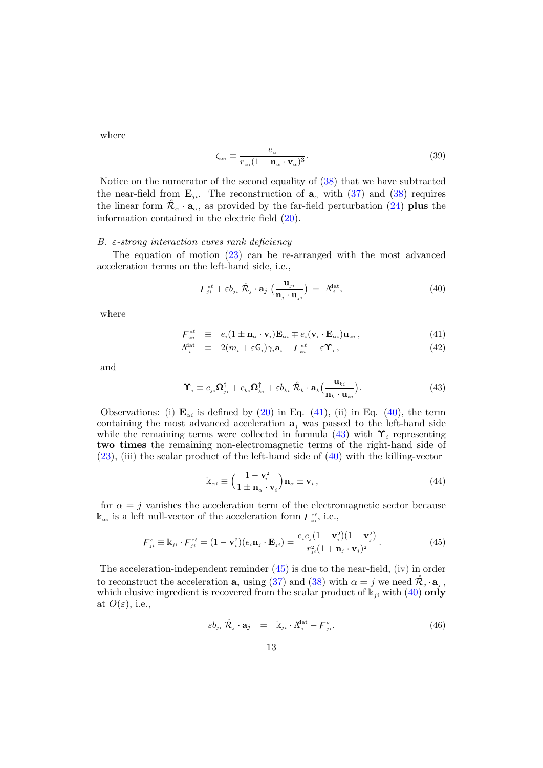where

$$
\zeta_{\alpha i} \equiv \frac{e_{\alpha}}{r_{\alpha i} (1 + \mathbf{n}_{\alpha} \cdot \mathbf{v}_{\alpha})^3}.
$$
\n(39)

Notice on the numerator of the second equality of [\(38\)](#page-11-1) that we have subtracted the near-field from  $\mathbf{E}_{ji}$ . The reconstruction of  $\mathbf{a}_{\alpha}$  with [\(37\)](#page-10-6) and [\(38\)](#page-11-1) requires the linear form  $\hat{\mathcal{R}}_{\alpha} \cdot \mathbf{a}_{\alpha}$ , as provided by the far-field perturbation [\(24\)](#page-9-0) **plus** the information contained in the electric field [\(20\)](#page-8-1).

# <span id="page-12-0"></span>B.  $\varepsilon$ -strong interaction cures rank deficiency

The equation of motion [\(23\)](#page-8-4) can be re-arranged with the most advanced acceleration terms on the left-hand side, i.e.,

<span id="page-12-2"></span>
$$
\mathbf{F}_{ji}^{e\ell} + \varepsilon b_{ji} \hat{\mathcal{R}}_j \cdot \mathbf{a}_j \left( \frac{\mathbf{u}_{ji}}{\mathbf{n}_j \cdot \mathbf{u}_{ji}} \right) = \Lambda_i^{\text{dat}}, \tag{40}
$$

where

<span id="page-12-1"></span>
$$
\mathbf{F}_{\alpha i}^{e\ell} \equiv e_i (1 \pm \mathbf{n}_{\alpha} \cdot \mathbf{v}_i) \mathbf{E}_{\alpha i} \mp e_i (\mathbf{v}_i \cdot \mathbf{E}_{\alpha i}) \mathbf{u}_{\alpha i}, \qquad (41)
$$

$$
\Lambda_i^{\text{dat}} \equiv 2(m_i + \varepsilon \mathsf{G}_i) \gamma_i \mathbf{a}_i - \mathsf{F}_{ki}^{\varepsilon \ell} - \varepsilon \mathbf{\hat{Y}}_i, \qquad (42)
$$

and

<span id="page-12-3"></span>
$$
\mathbf{\hat{Y}}_{i} \equiv c_{ji}\mathbf{\Omega}_{ji}^{\dagger} + c_{ki}\mathbf{\Omega}_{ki}^{\dagger} + \varepsilon b_{ki}\hat{\mathcal{R}}_{k} \cdot \mathbf{a}_{k} \left(\frac{\mathbf{u}_{ki}}{\mathbf{n}_{k} \cdot \mathbf{u}_{ki}}\right).
$$
 (43)

Observations: (i)  $\mathbf{E}_{\alpha i}$  is defined by [\(20\)](#page-8-1) in Eq. [\(41\)](#page-12-1), (ii) in Eq. [\(40\)](#page-12-2), the term containing the most advanced acceleration  $a_j$  was passed to the left-hand side while the remaining terms were collected in formula [\(43\)](#page-12-3) with  $\Upsilon_i$  representing two times the remaining non-electromagnetic terms of the right-hand side of  $(23)$ , (iii) the scalar product of the left-hand side of  $(40)$  with the killing-vector

$$
\mathbb{k}_{\alpha i} \equiv \left(\frac{1 - \mathbf{v}_i^2}{1 \pm \mathbf{n}_{\alpha} \cdot \mathbf{v}_i}\right) \mathbf{n}_{\alpha} \pm \mathbf{v}_i ,\qquad(44)
$$

for  $\alpha = j$  vanishes the acceleration term of the electromagnetic sector because  $\mathbf{k}_{\alpha i}$  is a left null-vector of the acceleration form  $\mathbf{F}_{\alpha i}^{\epsilon \ell}$ , i.e.,

<span id="page-12-4"></span>
$$
\mathbf{F}_{ji}^{\circ} \equiv \mathbb{k}_{ji} \cdot \mathbf{F}_{ji}^{e\ell} = (1 - \mathbf{v}_i^2)(e_i \mathbf{n}_j \cdot \mathbf{E}_{ji}) = \frac{e_i e_j (1 - \mathbf{v}_i^2)(1 - \mathbf{v}_j^2)}{r_{ji}^2 (1 + \mathbf{n}_j \cdot \mathbf{v}_j)^2}.
$$
(45)

The acceleration-independent reminder  $(45)$  is due to the near-field,  $(iv)$  in order to reconstruct the acceleration  $\mathbf{a}_j$  using [\(37\)](#page-10-6) and [\(38\)](#page-11-1) with  $\alpha = j$  we need  $\hat{\mathcal{R}}_j \cdot \mathbf{a}_j$ , which elusive ingredient is recovered from the scalar product of  $k_{ji}$  with [\(40\)](#page-12-2) only at  $O(\varepsilon)$ , i.e.,

<span id="page-12-5"></span>
$$
\varepsilon b_{ji} \hat{\mathcal{R}}_j \cdot \mathbf{a}_j = \mathbb{k}_{ji} \cdot \Lambda_i^{\text{dat}} - \mathcal{F}_{ji}^o.
$$
 (46)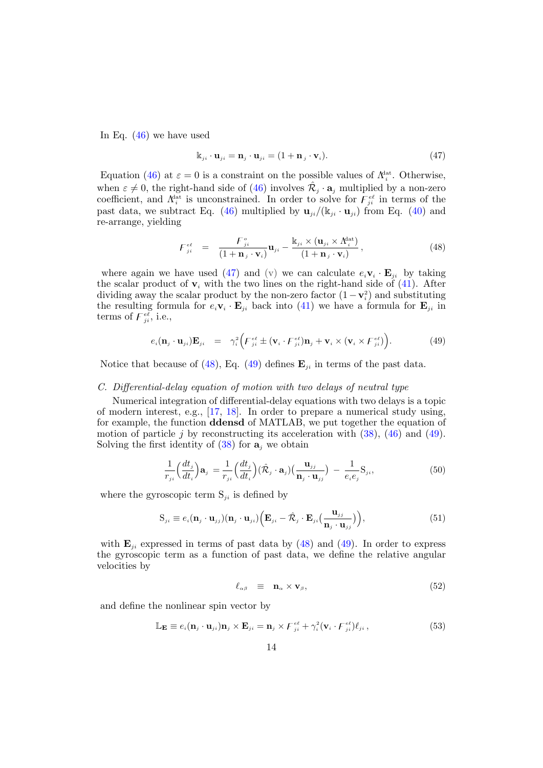In Eq.  $(46)$  we have used

<span id="page-13-1"></span>
$$
\mathbf{k}_{ji} \cdot \mathbf{u}_{ji} = \mathbf{n}_j \cdot \mathbf{u}_{ji} = (1 + \mathbf{n}_j \cdot \mathbf{v}_i). \tag{47}
$$

Equation [\(46\)](#page-12-5) at  $\varepsilon = 0$  is a constraint on the possible values of  $\Lambda_i^{\text{dat}}$ . Otherwise, when  $\varepsilon \neq 0$ , the right-hand side of [\(46\)](#page-12-5) involves  $\hat{\mathcal{R}}_j \cdot \mathbf{a}_j$  multiplied by a non-zero coefficient, and  $\Lambda_i^{\text{lat}}$  is unconstrained. In order to solve for  $\overline{\mathcal{F}}_{ji}^{\epsilon\ell}$  in terms of the past data, we subtract Eq. [\(46\)](#page-12-5) multiplied by  $\mathbf{u}_{ji}/(k_{ji} \cdot \mathbf{u}_{ji})$  from Eq. [\(40\)](#page-12-2) and re-arrange, yielding

<span id="page-13-2"></span>
$$
F_{ji}^{e\ell} = \frac{F_{ji}^{\circ}}{(1+\mathbf{n}_j \cdot \mathbf{v}_i)} \mathbf{u}_{ji} - \frac{\mathbf{k}_{ji} \times (\mathbf{u}_{ji} \times \Lambda_i^{\text{dat}})}{(1+\mathbf{n}_j \cdot \mathbf{v}_i)},
$$
(48)

where again we have used [\(47\)](#page-13-1) and (v) we can calculate  $e_i \mathbf{v}_i \cdot \mathbf{E}_{ji}$  by taking the scalar product of  $v_i$  with the two lines on the right-hand side of  $(41)$ . After dividing away the scalar product by the non-zero factor  $(1 - v_i^2)$  and substituting the resulting formula for  $e_i \mathbf{v}_i \cdot \mathbf{E}_{ji}$  back into [\(41\)](#page-12-1) we have a formula for  $\mathbf{E}_{ji}$  in terms of  $\overline{F}_{ji}^{\overline{e}\overline{\ell}}$ , i.e.,

<span id="page-13-3"></span>
$$
e_i(\mathbf{n}_j \cdot \mathbf{u}_{ji})\mathbf{E}_{ji} = \gamma_i^2 \Big( F_{ji}^{\epsilon \ell} \pm (\mathbf{v}_i \cdot F_{ji}^{\epsilon \ell})\mathbf{n}_j + \mathbf{v}_i \times (\mathbf{v}_i \times F_{ji}^{\epsilon \ell}) \Big). \tag{49}
$$

Notice that because of [\(48\)](#page-13-2), Eq. [\(49\)](#page-13-3) defines  $\mathbf{E}_{ii}$  in terms of the past data.

# <span id="page-13-0"></span>C. Differential-delay equation of motion with two delays of neutral type

Numerical integration of differential-delay equations with two delays is a topic of modern interest, e.g., [\[17,](#page-32-7) [18\]](#page-32-8). In order to prepare a numerical study using, for example, the function ddensd of MATLAB, we put together the equation of motion of particle j by reconstructing its acceleration with  $(38)$ ,  $(46)$  and  $(49)$ . Solving the first identity of  $(38)$  for  $a_i$  we obtain

<span id="page-13-7"></span>
$$
\frac{1}{r_{ji}} \left( \frac{dt_j}{dt_i} \right) \mathbf{a}_j = \frac{1}{r_{ji}} \left( \frac{dt_j}{dt_i} \right) (\hat{\mathcal{R}}_j \cdot \mathbf{a}_j) \left( \frac{\mathbf{u}_{jj}}{\mathbf{n}_j \cdot \mathbf{u}_{jj}} \right) - \frac{1}{e_i e_j} \mathbf{S}_{ji},\tag{50}
$$

where the gyroscopic term  $S_{ji}$  is defined by

<span id="page-13-6"></span>
$$
S_{ji} \equiv e_i(\mathbf{n}_j \cdot \mathbf{u}_{jj})(\mathbf{n}_j \cdot \mathbf{u}_{ji}) \Big( \mathbf{E}_{ji} - \hat{\mathcal{R}}_j \cdot \mathbf{E}_{ji} \big( \frac{\mathbf{u}_{jj}}{\mathbf{n}_j \cdot \mathbf{u}_{jj}} \big) \Big), \tag{51}
$$

with  $\mathbf{E}_{ii}$  expressed in terms of past data by [\(48\)](#page-13-2) and [\(49\)](#page-13-3). In order to express the gyroscopic term as a function of past data, we define the relative angular velocities by

<span id="page-13-4"></span>
$$
\ell_{\alpha\beta} \equiv \mathbf{n}_{\alpha} \times \mathbf{v}_{\beta}, \tag{52}
$$

and define the nonlinear spin vector by

<span id="page-13-5"></span>
$$
\mathbb{L}_{\mathbf{E}} \equiv e_i(\mathbf{n}_j \cdot \mathbf{u}_{ji}) \mathbf{n}_j \times \mathbf{E}_{ji} = \mathbf{n}_j \times F_{ji}^{\epsilon \ell} + \gamma_i^2 (\mathbf{v}_i \cdot F_{ji}^{\epsilon \ell}) \ell_{ji}, \qquad (53)
$$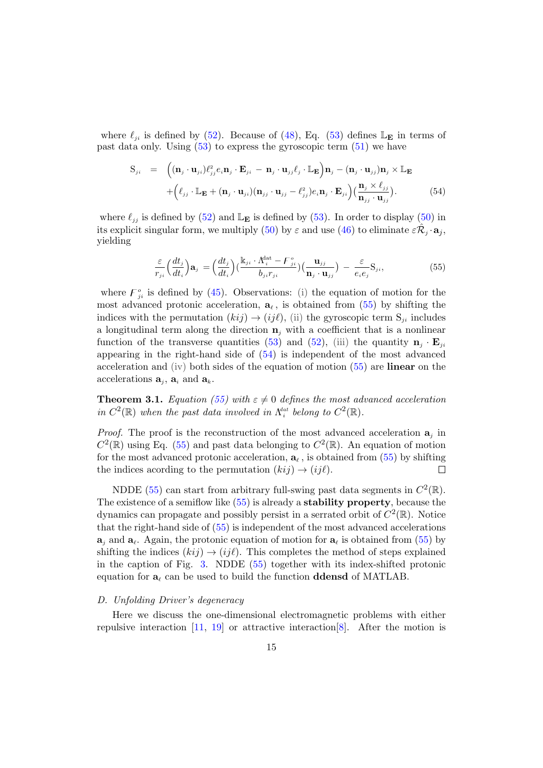where  $\ell_{ji}$  is defined by [\(52\)](#page-13-4). Because of [\(48\)](#page-13-2), Eq. [\(53\)](#page-13-5) defines  $\mathbb{L}_{\mathbf{E}}$  in terms of past data only. Using  $(53)$  to express the gyroscopic term  $(51)$  we have

<span id="page-14-3"></span>
$$
S_{ji} = \left( (\mathbf{n}_{j} \cdot \mathbf{u}_{ji}) \ell_{jj}^{2} e_{i} \mathbf{n}_{j} \cdot \mathbf{E}_{ji} - \mathbf{n}_{j} \cdot \mathbf{u}_{jj} \ell_{j} \cdot \mathbb{L}_{\mathbf{E}} \right) \mathbf{n}_{j} - (\mathbf{n}_{j} \cdot \mathbf{u}_{jj}) \mathbf{n}_{j} \times \mathbb{L}_{\mathbf{E}} + \left( \ell_{jj} \cdot \mathbb{L}_{\mathbf{E}} + (\mathbf{n}_{j} \cdot \mathbf{u}_{ji}) (\mathbf{n}_{jj} \cdot \mathbf{u}_{jj} - \ell_{jj}^{2}) e_{i} \mathbf{n}_{j} \cdot \mathbf{E}_{ji} \right) \left( \frac{\mathbf{n}_{j} \times \ell_{jj}}{\mathbf{n}_{jj} \cdot \mathbf{u}_{jj}} \right).
$$
(54)

where  $\ell_{jj}$  is defined by [\(52\)](#page-13-4) and  $\mathbb{L}_{\mathbf{E}}$  is defined by [\(53\)](#page-13-5). In order to display [\(50\)](#page-13-7) in its explicit singular form, we multiply [\(50\)](#page-13-7) by  $\varepsilon$  and use [\(46\)](#page-12-5) to eliminate  $\varepsilon \hat{\mathcal{R}}_j \cdot \mathbf{a}_j$ , yielding

<span id="page-14-2"></span>
$$
\frac{\varepsilon}{r_{ji}} \left(\frac{dt_j}{dt_i}\right) \mathbf{a}_j = \left(\frac{dt_j}{dt_i}\right) \left(\frac{\mathbf{k}_{ji} \cdot \Lambda_i^{\text{dat}} - F_{ji}^{\circ}}{b_{ji} r_{ji}}\right) \left(\frac{\mathbf{u}_{jj}}{\mathbf{n}_j \cdot \mathbf{u}_{jj}}\right) - \frac{\varepsilon}{e_i e_j} \mathbf{S}_{ji},\tag{55}
$$

where  $F_{ji}^{\circ}$  is defined by [\(45\)](#page-12-4). Observations: (i) the equation of motion for the most advanced protonic acceleration,  $a_{\ell}$ , is obtained from [\(55\)](#page-14-2) by shifting the indices with the permutation  $(kij) \rightarrow (ij\ell)$ , (ii) the gyroscopic term  $S_{ji}$  includes a longitudinal term along the direction  $\mathbf{n}_i$  with a coefficient that is a nonlinear function of the transverse quantities [\(53\)](#page-13-5) and [\(52\)](#page-13-4), (iii) the quantity  $\mathbf{n}_j \cdot \mathbf{E}_{ji}$ appearing in the right-hand side of [\(54\)](#page-14-3) is independent of the most advanced acceleration and (iv) both sides of the equation of motion [\(55\)](#page-14-2) are linear on the accelerations  $\mathbf{a}_j$ ,  $\mathbf{a}_i$  and  $\mathbf{a}_k$ .

<span id="page-14-0"></span>**Theorem 3.1.** Equation [\(55\)](#page-14-2) with  $\varepsilon \neq 0$  defines the most advanced acceleration in  $C^2(\mathbb{R})$  when the past data involved in  $\Lambda_i^{dat}$  belong to  $C^2(\mathbb{R})$ .

*Proof.* The proof is the reconstruction of the most advanced acceleration  $a_j$  in  $C^2(\mathbb{R})$  using Eq. [\(55\)](#page-14-2) and past data belonging to  $C^2(\mathbb{R})$ . An equation of motion for the most advanced protonic acceleration,  $a_{\ell}$ , is obtained from [\(55\)](#page-14-2) by shifting the indices acording to the permutation  $(kij) \rightarrow (ij\ell)$ .  $\Box$ 

NDDE [\(55\)](#page-14-2) can start from arbitrary full-swing past data segments in  $C^2(\mathbb{R})$ . The existence of a semiflow like [\(55\)](#page-14-2) is already a stability property, because the dynamics can propagate and possibly persist in a serrated orbit of  $C^2(\mathbb{R})$ . Notice that the right-hand side of [\(55\)](#page-14-2) is independent of the most advanced accelerations  $a_j$  and  $a_\ell$ . Again, the protonic equation of motion for  $a_\ell$  is obtained from [\(55\)](#page-14-2) by shifting the indices  $(kij) \rightarrow (ij\ell)$ . This completes the method of steps explained in the caption of Fig. [3.](#page-11-0) NDDE [\(55\)](#page-14-2) together with its index-shifted protonic equation for  $a_\ell$  can be used to build the function **ddensd** of MATLAB.

#### <span id="page-14-1"></span>D. Unfolding Driver's degeneracy

Here we discuss the one-dimensional electromagnetic problems with either repulsive interaction  $[11, 19]$  $[11, 19]$  or attractive interaction  $[8]$ . After the motion is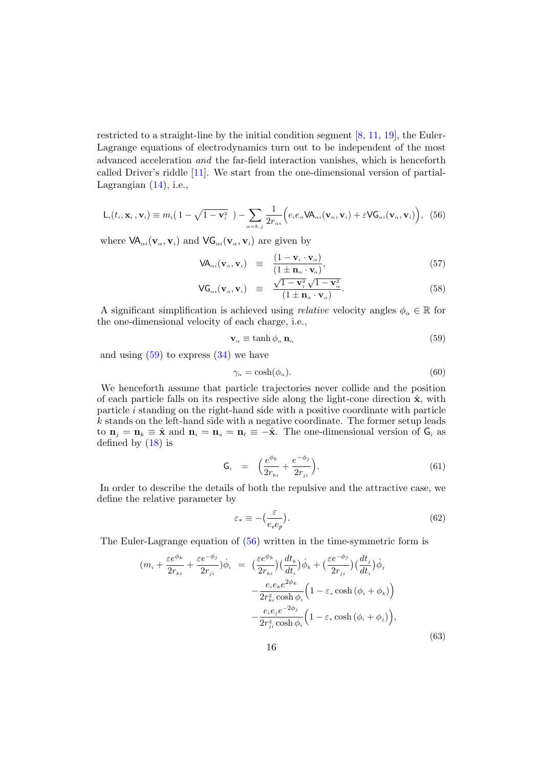restricted to a straight-line by the initial condition segment [\[8,](#page-31-4) [11,](#page-32-1) [19\]](#page-32-9), the Euler-Lagrange equations of electrodynamics turn out to be independent of the most advanced acceleration and the far-field interaction vanishes, which is henceforth called Driver's riddle [\[11\]](#page-32-1). We start from the one-dimensional version of partial-Lagrangian  $(14)$ , i.e.,

<span id="page-15-1"></span>
$$
\mathsf{L}_{i}(t_{i}, \mathbf{x}_{i}, \mathbf{v}_{i}) \equiv m_{i}(1 - \sqrt{1 - \mathbf{v}_{i}^{2}}) - \sum_{\alpha = k, j} \frac{1}{2r_{\alpha i}} \Big(e_{i}e_{\alpha} \mathsf{VA}_{\alpha i}(\mathbf{v}_{\alpha}, \mathbf{v}_{i}) + \varepsilon \mathsf{VG}_{\alpha i}(\mathbf{v}_{\alpha}, \mathbf{v}_{i})\Big), \tag{56}
$$

where  $VA_{\alpha i}(\mathbf{v}_{\alpha}, \mathbf{v}_{i})$  and  $VG_{\alpha i}(\mathbf{v}_{\alpha}, \mathbf{v}_{i})$  are given by

$$
\mathsf{VA}_{\alpha i}(\mathbf{v}_{\alpha}, \mathbf{v}_{i}) = \frac{(1 - \mathbf{v}_{i} \cdot \mathbf{v}_{\alpha})}{(1 \pm \mathbf{n}_{\alpha} \cdot \mathbf{v}_{\alpha})},\tag{57}
$$

$$
\mathsf{VG}_{\alpha i}(\mathbf{v}_{\alpha}, \mathbf{v}_{i}) \equiv \frac{\sqrt{1-\mathbf{v}_{i}^{2}}\sqrt{1-\mathbf{v}_{\alpha}^{2}}}{(1 \pm \mathbf{n}_{\alpha} \cdot \mathbf{v}_{\alpha})}.
$$
 (58)

A significant simplification is achieved using *relative* velocity angles  $\phi_{\alpha} \in \mathbb{R}$  for the one-dimensional velocity of each charge, i.e.,

<span id="page-15-0"></span>
$$
\mathbf{v}_{\alpha} \equiv \tanh \phi_{\alpha} \, \mathbf{n}_{\alpha} \tag{59}
$$

and using  $(59)$  to express  $(34)$  we have

<span id="page-15-4"></span>
$$
\gamma_{\alpha} = \cosh(\phi_{\alpha}).\tag{60}
$$

We henceforth assume that particle trajectories never collide and the position of each particle falls on its respective side along the light-cone direction  $\hat{\mathbf{x}}$ , with particle i standing on the right-hand side with a positive coordinate with particle  $k$  stands on the left-hand side with a negative coordinate. The former setup leads to  $\mathbf{n}_j = \mathbf{n}_k \equiv \hat{\mathbf{x}}$  and  $\mathbf{n}_i = \mathbf{n}_s = \mathbf{n}_\ell \equiv -\hat{\mathbf{x}}$ . The one-dimensional version of  $\mathbf{G}_i$  as defined by  $(18)$  is

$$
G_i = \left(\frac{e^{\phi_k}}{2r_{ki}} + \frac{e^{-\phi_j}}{2r_{ji}}\right).
$$
 (61)

In order to describe the details of both the repulsive and the attractive case, we define the relative parameter by

<span id="page-15-3"></span>
$$
\varepsilon_* \equiv -\left(\frac{\varepsilon}{e_\iarepsilon e_p}\right). \tag{62}
$$

The Euler-Lagrange equation of [\(56\)](#page-15-1) written in the time-symmetric form is

<span id="page-15-2"></span>
$$
(m_i + \frac{\varepsilon e^{\phi_k}}{2r_{ki}} + \frac{\varepsilon e^{-\phi_j}}{2r_{ji}})\dot{\phi}_i = \left(\frac{\varepsilon e^{\phi_k}}{2r_{ki}}\right)\left(\frac{dt_k}{dt_i}\right)\dot{\phi}_k + \left(\frac{\varepsilon e^{-\phi_j}}{2r_{ji}}\right)\left(\frac{dt_j}{dt_i}\right)\dot{\phi}_j
$$

$$
- \frac{e_i e_k e^{2\phi_k}}{2r_{ki}^2 \cosh \phi_i} \left(1 - \varepsilon_* \cosh \left(\phi_i + \phi_k\right)\right)
$$

$$
- \frac{e_i e_j e^{-2\phi_j}}{2r_{ji}^2 \cosh \phi_i} \left(1 - \varepsilon_* \cosh \left(\phi_i + \phi_j\right)\right),\tag{63}
$$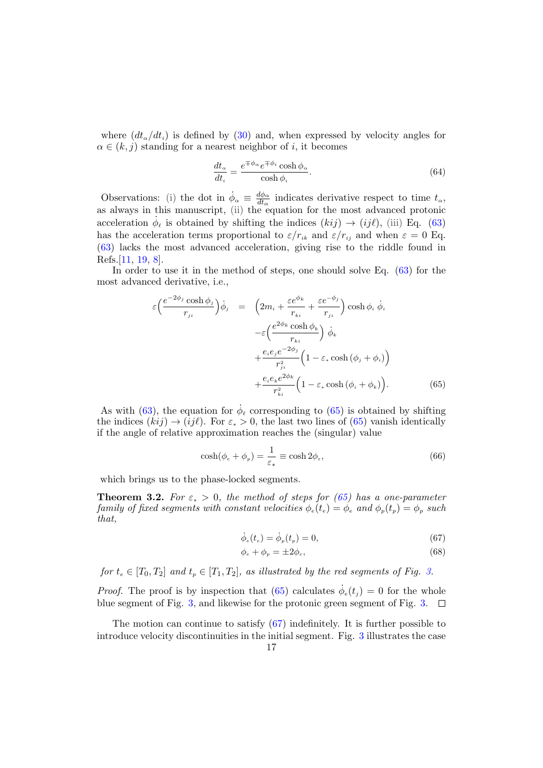where  $(dt_{\alpha}/dt_i)$  is defined by [\(30\)](#page-9-1) and, when expressed by velocity angles for  $\alpha \in (k, j)$  standing for a nearest neighbor of i, it becomes

$$
\frac{dt_{\alpha}}{dt_{i}} = \frac{e^{\mp \phi_{\alpha}} e^{\mp \phi_{i}} \cosh \phi_{\alpha}}{\cosh \phi_{i}}.
$$
\n(64)

Observations: (i) the dot in  $\dot{\phi}_{\alpha} \equiv \frac{d\phi_{\alpha}}{dt_{\alpha}}$  $\frac{d\phi_{\alpha}}{dt_{\alpha}}$  indicates derivative respect to time  $t_{\alpha}$ , as always in this manuscript, (ii) the equation for the most advanced protonic acceleration  $\dot{\phi}_{\ell}$  is obtained by shifting the indices  $(kij) \rightarrow (ij\ell)$ , (iii) Eq. [\(63\)](#page-15-2) has the acceleration terms proportional to  $\varepsilon/r_{ik}$  and  $\varepsilon/r_{ij}$  and when  $\varepsilon = 0$  Eq. [\(63\)](#page-15-2) lacks the most advanced acceleration, giving rise to the riddle found in Refs.[\[11,](#page-32-1) [19,](#page-32-9) [8\]](#page-31-4).

In order to use it in the method of steps, one should solve Eq. [\(63\)](#page-15-2) for the most advanced derivative, i.e.,

<span id="page-16-1"></span>
$$
\varepsilon \Big( \frac{e^{-2\phi_j} \cosh \phi_j}{r_{ji}} \Big) \dot{\phi}_j = \Big( 2m_i + \frac{\varepsilon e^{\phi_k}}{r_{ki}} + \frac{\varepsilon e^{-\phi_j}}{r_{ji}} \Big) \cosh \phi_i \dot{\phi}_i
$$

$$
- \varepsilon \Big( \frac{e^{2\phi_k} \cosh \phi_k}{r_{ki}} \Big) \dot{\phi}_k
$$

$$
+ \frac{e_i e_j e^{-2\phi_j}}{r_{ji}^2} \Big( 1 - \varepsilon_* \cosh (\phi_j + \phi_i) \Big)
$$

$$
+ \frac{e_i e_k e^{2\phi_k}}{r_{ki}^2} \Big( 1 - \varepsilon_* \cosh (\phi_i + \phi_k) \Big). \tag{65}
$$

As with [\(63\)](#page-15-2), the equation for  $\dot{\phi}_{\ell}$  corresponding to [\(65\)](#page-16-1) is obtained by shifting the indices  $(kij) \rightarrow (ij\ell)$ . For  $\varepsilon_* > 0$ , the last two lines of [\(65\)](#page-16-1) vanish identically if the angle of relative approximation reaches the (singular) value

<span id="page-16-3"></span>
$$
\cosh(\phi_e + \phi_p) = \frac{1}{\varepsilon_*} \equiv \cosh 2\phi_\varepsilon,\tag{66}
$$

which brings us to the phase-locked segments.

<span id="page-16-0"></span>**Theorem 3.2.** For  $\varepsilon_* > 0$ , the method of steps for [\(65\)](#page-16-1) has a one-parameter family of fixed segments with constant velocities  $\phi_e(t_e) = \phi_e$  and  $\phi_p(t_p) = \phi_p$  such that,

<span id="page-16-2"></span>
$$
\dot{\phi}_e(t_e) = \dot{\phi}_p(t_p) = 0,\t(67)
$$

$$
\phi_e + \phi_p = \pm 2\phi_\varepsilon,\tag{68}
$$

for  $t_e \in [T_0, T_2]$  and  $t_p \in [T_1, T_2]$ , as illustrated by the red segments of Fig. [3.](#page-11-0)

*Proof.* The proof is by inspection that [\(65\)](#page-16-1) calculates  $\dot{\phi}_e(t_j) = 0$  for the whole blue segment of Fig. [3,](#page-11-0) and likewise for the protonic green segment of Fig. [3.](#page-11-0)

The motion can continue to satisfy [\(67\)](#page-16-2) indefinitely. It is further possible to introduce velocity discontinuities in the initial segment. Fig. [3](#page-11-0) illustrates the case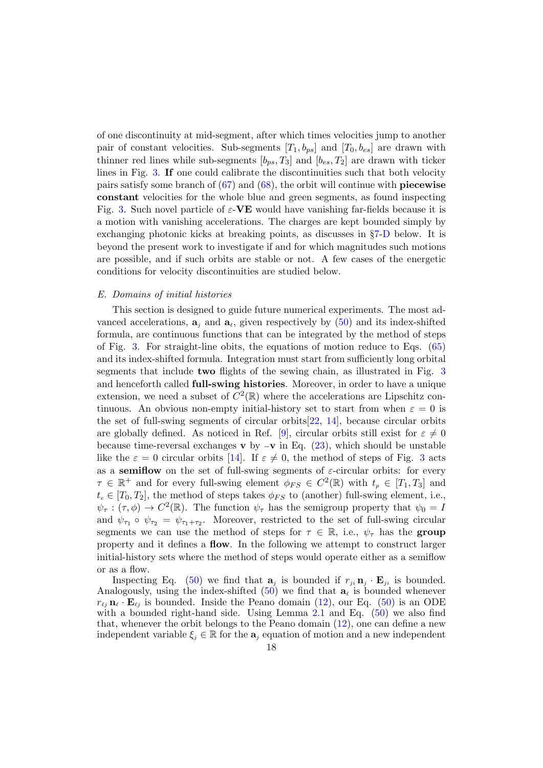of one discontinuity at mid-segment, after which times velocities jump to another pair of constant velocities. Sub-segments  $[T_1, b_{ps}]$  and  $[T_0, b_{es}]$  are drawn with thinner red lines while sub-segments  $[b_{ps}, T_3]$  and  $[b_{es}, T_2]$  are drawn with ticker lines in Fig. [3.](#page-11-0) If one could calibrate the discontinuities such that both velocity pairs satisfy some branch of  $(67)$  and  $(68)$ , the orbit will continue with **piecewise** constant velocities for the whole blue and green segments, as found inspecting Fig. [3.](#page-11-0) Such novel particle of  $\varepsilon$ -VE would have vanishing far-fields because it is a motion with vanishing accelerations. The charges are kept bounded simply by exchanging photonic kicks at breaking points, as discusses in §[7-](#page-28-0)[D](#page-30-1) below. It is beyond the present work to investigate if and for which magnitudes such motions are possible, and if such orbits are stable or not. A few cases of the energetic conditions for velocity discontinuities are studied below.

# <span id="page-17-0"></span>E. Domains of initial histories

This section is designed to guide future numerical experiments. The most advanced accelerations,  $\mathbf{a}_j$  and  $\mathbf{a}_\ell$ , given respectively by [\(50\)](#page-13-7) and its index-shifted formula, are continuous functions that can be integrated by the method of steps of Fig. [3.](#page-11-0) For straight-line obits, the equations of motion reduce to Eqs. [\(65\)](#page-16-1) and its index-shifted formula. Integration must start from sufficiently long orbital segments that include two flights of the sewing chain, as illustrated in Fig. [3](#page-11-0) and henceforth called full-swing histories. Moreover, in order to have a unique extension, we need a subset of  $C^2(\mathbb{R})$  where the accelerations are Lipschitz continuous. An obvious non-empty initial-history set to start from when  $\varepsilon = 0$  is the set of full-swing segments of circular orbits $[22, 14]$  $[22, 14]$  $[22, 14]$ , because circular orbits are globally defined. As noticed in Ref. [\[9\]](#page-31-5), circular orbits still exist for  $\varepsilon \neq 0$ because time-reversal exchanges v by  $-\mathbf{v}$  in Eq. [\(23\)](#page-8-4), which should be unstable like the  $\varepsilon = 0$  circular orbits [\[14\]](#page-32-4). If  $\varepsilon \neq 0$ , the method of steps of Fig. [3](#page-11-0) acts as a semiflow on the set of full-swing segments of  $\varepsilon$ -circular orbits: for every  $\tau \in \mathbb{R}^+$  and for every full-swing element  $\phi_{FS} \in C^2(\mathbb{R})$  with  $t_p \in [T_1, T_3]$  and  $t_e \in [T_0, T_2]$ , the method of steps takes  $\phi_{FS}$  to (another) full-swing element, i.e.,  $\psi_{\tau} : (\tau, \phi) \to C^2(\mathbb{R})$ . The function  $\psi_{\tau}$  has the semigroup property that  $\psi_0 = I$ and  $\psi_{\tau_1} \circ \psi_{\tau_2} = \psi_{\tau_1 + \tau_2}$ . Moreover, restricted to the set of full-swing circular segments we can use the method of steps for  $\tau \in \mathbb{R}$ , i.e.,  $\psi_{\tau}$  has the group property and it defines a flow. In the following we attempt to construct larger initial-history sets where the method of steps would operate either as a semiflow or as a flow.

Inspecting Eq. [\(50\)](#page-13-7) we find that  $\mathbf{a}_j$  is bounded if  $r_{ji} \mathbf{n}_j \cdot \mathbf{E}_{ji}$  is bounded. Analogously, using the index-shifted  $(50)$  we find that  $a_\ell$  is bounded whenever  $r_{\ell j}$   $\mathbf{n}_{\ell} \cdot \mathbf{E}_{\ell j}$  is bounded. Inside the Peano domain [\(12\)](#page-6-1), our Eq. [\(50\)](#page-13-7) is an ODE with a bounded right-hand side. Using Lemma  $2.1$  and Eq.  $(50)$  we also find that, whenever the orbit belongs to the Peano domain [\(12\)](#page-6-1), one can define a new independent variable  $\xi_i \in \mathbb{R}$  for the  $\mathbf{a}_i$  equation of motion and a new independent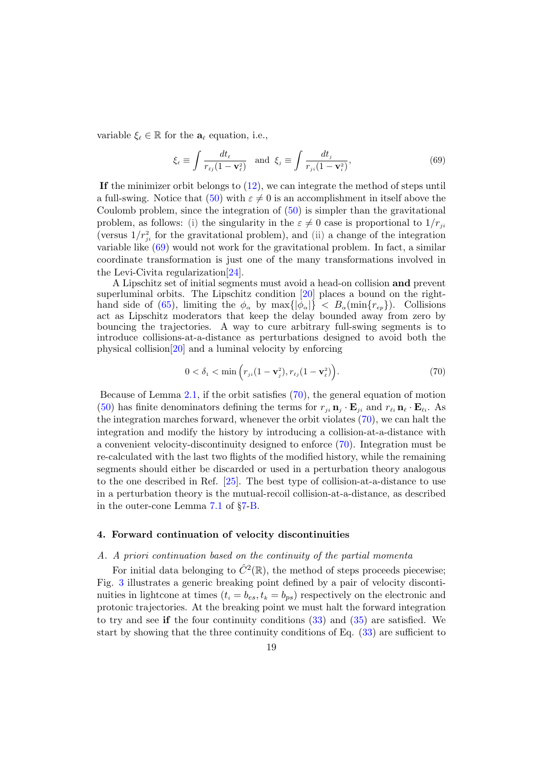variable  $\xi_{\ell} \in \mathbb{R}$  for the  $\mathbf{a}_{\ell}$  equation, i.e.,

<span id="page-18-2"></span>
$$
\xi_{\ell} \equiv \int \frac{dt_{\ell}}{r_{\ell j}(1 - \mathbf{v}_{\ell}^2)} \quad \text{and} \quad \xi_{j} \equiv \int \frac{dt_{j}}{r_{j\ell}(1 - \mathbf{v}_{i}^2)},\tag{69}
$$

If the minimizer orbit belongs to  $(12)$ , we can integrate the method of steps until a full-swing. Notice that [\(50\)](#page-13-7) with  $\varepsilon \neq 0$  is an accomplishment in itself above the Coulomb problem, since the integration of [\(50\)](#page-13-7) is simpler than the gravitational problem, as follows: (i) the singularity in the  $\varepsilon \neq 0$  case is proportional to  $1/r_{ji}$ (versus  $1/r_{ji}^2$  for the gravitational problem), and (ii) a change of the integration variable like [\(69\)](#page-18-2) would not work for the gravitational problem. In fact, a similar coordinate transformation is just one of the many transformations involved in the Levi-Civita regularization[\[24\]](#page-32-11).

A Lipschitz set of initial segments must avoid a head-on collision and prevent superluminal orbits. The Lipschitz condition [\[20\]](#page-32-12) places a bound on the right-hand side of [\(65\)](#page-16-1), limiting the  $\phi_{\alpha}$  by  $\max\{|\phi_{\alpha}|\} < B_{\alpha}(\min\{r_{ep}\})$ . Collisions act as Lipschitz moderators that keep the delay bounded away from zero by bouncing the trajectories. A way to cure arbitrary full-swing segments is to introduce collisions-at-a-distance as perturbations designed to avoid both the physical collision[\[20\]](#page-32-12) and a luminal velocity by enforcing

<span id="page-18-3"></span>
$$
0 < \delta_1 < \min\left(r_{ji}(1 - \mathbf{v}_j^2), r_{\ell j}(1 - \mathbf{v}_\ell^2)\right). \tag{70}
$$

Because of Lemma [2.1,](#page-4-1) if the orbit satisfies [\(70\)](#page-18-3), the general equation of motion [\(50\)](#page-13-7) has finite denominators defining the terms for  $r_{ji} \mathbf{n}_j \cdot \mathbf{E}_{ji}$  and  $r_{\ell i} \mathbf{n}_{\ell} \cdot \mathbf{E}_{\ell i}$ . As the integration marches forward, whenever the orbit violates [\(70\)](#page-18-3), we can halt the integration and modify the history by introducing a collision-at-a-distance with a convenient velocity-discontinuity designed to enforce [\(70\)](#page-18-3). Integration must be re-calculated with the last two flights of the modified history, while the remaining segments should either be discarded or used in a perturbation theory analogous to the one described in Ref. [\[25\]](#page-32-13). The best type of collision-at-a-distance to use in a perturbation theory is the mutual-recoil collision-at-a-distance, as described in the outer-cone Lemma [7.1](#page-29-1) of §[7](#page-28-0)[-B.](#page-29-0)

# <span id="page-18-0"></span>4. Forward continuation of velocity discontinuities

# <span id="page-18-1"></span>A. A priori continuation based on the continuity of the partial momenta

For initial data belonging to  $\hat{C}^2(\mathbb{R})$ , the method of steps proceeds piecewise; Fig. [3](#page-11-0) illustrates a generic breaking point defined by a pair of velocity discontinuities in lightcone at times  $(t_i = b_{es}, t_k = b_{ps})$  respectively on the electronic and protonic trajectories. At the breaking point we must halt the forward integration to try and see if the four continuity conditions  $(33)$  and  $(35)$  are satisfied. We start by showing that the three continuity conditions of Eq. [\(33\)](#page-10-4) are sufficient to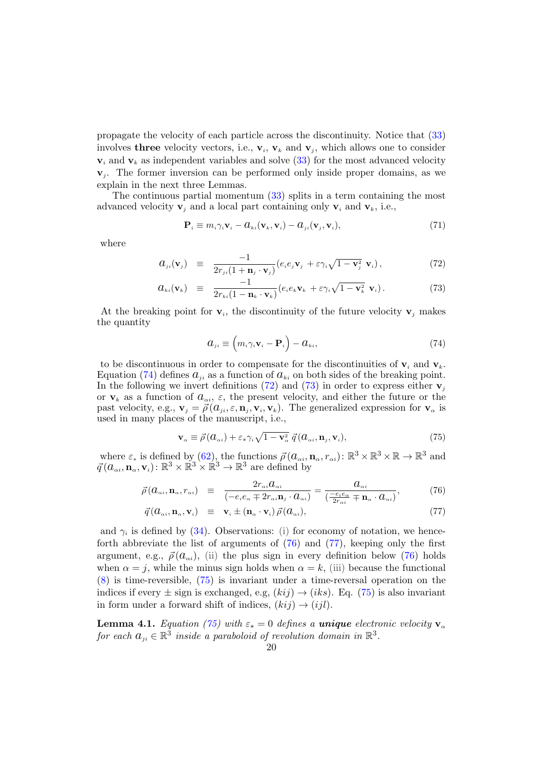propagate the velocity of each particle across the discontinuity. Notice that [\(33\)](#page-10-4) involves **three** velocity vectors, i.e.,  $v_i$ ,  $v_k$  and  $v_j$ , which allows one to consider  $v_i$  and  $v_k$  as independent variables and solve [\(33\)](#page-10-4) for the most advanced velocity  $v_j$ . The former inversion can be performed only inside proper domains, as we explain in the next three Lemmas.

The continuous partial momentum [\(33\)](#page-10-4) splits in a term containing the most advanced velocity  $\mathbf{v}_i$  and a local part containing only  $\mathbf{v}_i$  and  $\mathbf{v}_k$ , i.e.,

$$
\mathbf{P}_{i} \equiv m_{i} \gamma_{i} \mathbf{v}_{i} - d_{ki}(\mathbf{v}_{k}, \mathbf{v}_{i}) - d_{ji}(\mathbf{v}_{j}, \mathbf{v}_{i}), \qquad (71)
$$

where

<span id="page-19-2"></span>
$$
a_{ji}(\mathbf{v}_j) \equiv \frac{-1}{2r_{ji}(1+\mathbf{n}_j \cdot \mathbf{v}_j)} (e_i e_j \mathbf{v}_j + \varepsilon \gamma_i \sqrt{1-\mathbf{v}_j^2} \mathbf{v}_i), \qquad (72)
$$

$$
a_{ki}(\mathbf{v}_k) \equiv \frac{-1}{2r_{ki}(1-\mathbf{n}_k\cdot\mathbf{v}_k)}(e_ie_k\mathbf{v}_k+\varepsilon\gamma_i\sqrt{1-\mathbf{v}_k^2}\mathbf{v}_i).
$$
 (73)

At the breaking point for  $\mathbf{v}_i$ , the discontinuity of the future velocity  $\mathbf{v}_j$  makes the quantity

<span id="page-19-1"></span>
$$
a_{ji} \equiv \left(m_i \gamma_i \mathbf{v}_i - \mathbf{P}_i\right) - a_{ki},\tag{74}
$$

to be discontinuous in order to compensate for the discontinuities of  $v_i$  and  $v_k$ . Equation [\(74\)](#page-19-1) defines  $a_{ii}$  as a function of  $a_{ki}$  on both sides of the breaking point. In the following we invert definitions [\(72\)](#page-19-2) and [\(73\)](#page-19-2) in order to express either  $v_i$ or  $v_k$  as a function of  $a_{\alpha i}$ ,  $\varepsilon$ , the present velocity, and either the future or the past velocity, e.g.,  $\mathbf{v}_j = \vec{\rho}(\vec{a}_{ji}, \varepsilon, \mathbf{n}_j, \mathbf{v}_i, \mathbf{v}_k)$ . The generalized expression for  $\mathbf{v}_\alpha$  is used in many places of the manuscript, i.e.,

<span id="page-19-4"></span>
$$
\mathbf{v}_{\alpha} \equiv \vec{\rho} (a_{\alpha i}) + \varepsilon_* \gamma_i \sqrt{1 - \mathbf{v}_{\alpha}^2} \, \vec{q} (a_{\alpha i}, \mathbf{n}_j, \mathbf{v}_i), \tag{75}
$$

where  $\varepsilon_*$  is defined by [\(62\)](#page-15-3), the functions  $\vec{\rho}(a_{\alpha i}, \mathbf{n}_{\alpha}, r_{\alpha i})$ :  $\mathbb{R}^3 \times \mathbb{R}^3 \times \mathbb{R} \to \mathbb{R}^3$  and  $\vec{q} (a_{\alpha i}, \mathbf{n}_{\alpha}, \mathbf{v}_i) : \mathbb{R}^3 \times \mathbb{R}^3 \times \mathbb{R}^3 \to \mathbb{R}^3$  are defined by

<span id="page-19-3"></span>
$$
\vec{\rho}(a_{\alpha i}, \mathbf{n}_{\alpha}, r_{\alpha i}) \equiv \frac{2r_{\alpha i}a_{\alpha i}}{(-e_{i}e_{\alpha} \mp 2r_{\alpha i}\mathbf{n}_{j} \cdot a_{\alpha i})} = \frac{a_{\alpha i}}{(\frac{-e_{i}e_{\alpha}}{2r_{\alpha i}} \mp \mathbf{n}_{\alpha} \cdot a_{\alpha i})},
$$
(76)

$$
\vec{q} (a_{\alpha i}, \mathbf{n}_{\alpha}, \mathbf{v}_{i}) \equiv \mathbf{v}_{i} \pm (\mathbf{n}_{\alpha} \cdot \mathbf{v}_{i}) \vec{\rho} (a_{\alpha i}), \qquad (77)
$$

and  $\gamma_i$  is defined by [\(34\)](#page-10-3). Observations: (i) for economy of notation, we henceforth abbreviate the list of arguments of  $(76)$  and  $(77)$ , keeping only the first argument, e.g.,  $\vec{\rho}(a_{\alpha i})$ , (ii) the plus sign in every definition below [\(76\)](#page-19-3) holds when  $\alpha = j$ , while the minus sign holds when  $\alpha = k$ , (iii) because the functional [\(8\)](#page-5-2) is time-reversible, [\(75\)](#page-19-4) is invariant under a time-reversal operation on the indices if every  $\pm$  sign is exchanged, e.g,  $(kij) \rightarrow (iks)$ . Eq. [\(75\)](#page-19-4) is also invariant in form under a forward shift of indices,  $(kij) \rightarrow (ijl)$ .

<span id="page-19-0"></span>**Lemma 4.1.** Equation [\(75\)](#page-19-4) with  $\varepsilon_* = 0$  defines a unique electronic velocity  $\mathbf{v}_\alpha$ for each  $a_{ji} \in \mathbb{R}^3$  inside a paraboloid of revolution domain in  $\mathbb{R}^3$ .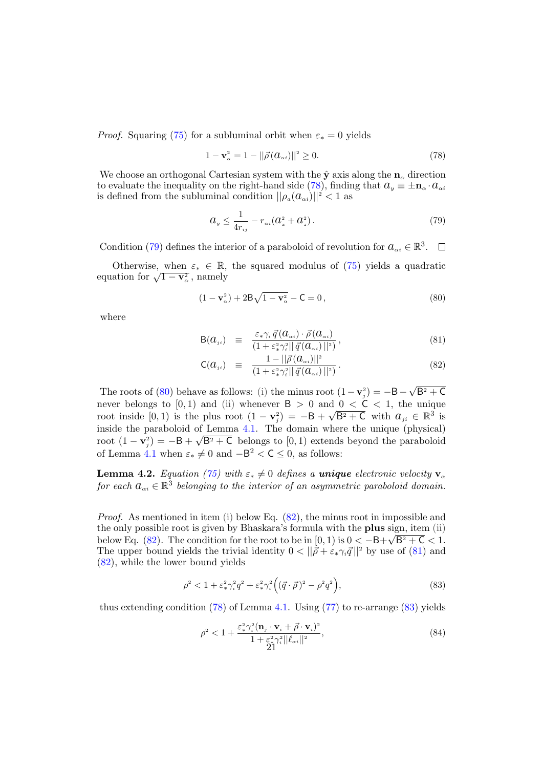*Proof.* Squaring [\(75\)](#page-19-4) for a subluminal orbit when  $\varepsilon_* = 0$  yields

<span id="page-20-1"></span>
$$
1 - \mathbf{v}_{\alpha}^2 = 1 - ||\vec{\rho}(a_{\alpha i})||^2 \ge 0.
$$
 (78)

We choose an orthogonal Cartesian system with the  $\hat{y}$  axis along the  $n_{\alpha}$  direction to evaluate the inequality on the right-hand side [\(78\)](#page-20-1), finding that  $a_y \equiv \pm \mathbf{n}_{\alpha} \cdot a_{\alpha i}$ is defined from the subluminal condition  $||\rho_a(a_{\alpha i})||^2 < 1$  as

<span id="page-20-2"></span>
$$
a_{y} \le \frac{1}{4r_{ij}} - r_{\alpha i}(a_{x}^{2} + a_{z}^{2}).
$$
\n(79)

Condition [\(79\)](#page-20-2) defines the interior of a paraboloid of revolution for  $a_{\alpha i} \in \mathbb{R}^3$ .

Otherwise, when  $\varepsilon_* \in \mathbb{R}$ , the squared modulus of [\(75\)](#page-19-4) yields a quadratic Otherwise, when  $\varepsilon_* \in \mathbb{R}$ ,<br>equation for  $\sqrt{1 - v_\alpha^2}$ , namely

<span id="page-20-3"></span>
$$
(1 - \mathbf{v}_{\alpha}^2) + 2B\sqrt{1 - \mathbf{v}_{\alpha}^2} - \mathsf{C} = 0,\tag{80}
$$

where

<span id="page-20-4"></span>
$$
\mathsf{B}(a_{ji}) \equiv \frac{\varepsilon_* \gamma_i \, \vec{q} \left( a_{\alpha i} \right) \cdot \vec{\rho} \left( a_{\alpha i} \right)}{\left( 1 + \varepsilon_*^2 \gamma_i^2 || \vec{q} \left( a_{\alpha i} \right) ||^2 \right)},\tag{81}
$$

$$
\mathsf{C}(a_{ji}) \equiv \frac{1 - ||\vec{\rho}(a_{\alpha i})||^2}{(1 + \varepsilon_*^2 \gamma_i^2 ||\vec{q}(a_{\alpha i})||^2)}.
$$
\n(82)

The roots of [\(80\)](#page-20-3) behave as follows: (i) the minus root  $(1 - v_j^2) = -B -$ √  $B^2 + C$ never belongs to  $[0,1)$  and  $(ii)$  whenever  $B > 0$  and  $0 < C < 1$ , the unique root inside  $[0,1)$  is the plus root  $(1 - v_j^2) = -B +$  $\sqrt{B^2+C}$  with  $a_{ji} \in \mathbb{R}^3$  is inside the paraboloid of Lemma [4.1.](#page-19-0) The domain where the unique (physical) root  $(1 - v_j^2) = -B + \sqrt{B^2 + C}$  belongs to  $(0, 1)$  extends beyond the paraboloid of Lemma [4.1](#page-19-0) when  $\varepsilon_* \neq 0$  and  $-B^2 < C \leq 0$ , as follows:

<span id="page-20-0"></span>**Lemma 4.2.** Equation [\(75\)](#page-19-4) with  $\varepsilon_* \neq 0$  defines a unique electronic velocity  $\mathbf{v}_\alpha$ for each  $a_{\alpha i} \in \mathbb{R}^3$  belonging to the interior of an asymmetric paraboloid domain.

Proof. As mentioned in item (i) below Eq.  $(82)$ , the minus root in impossible and the only possible root is given by Bhaskara's formula with the **plus** sign, item (ii) below Eq. [\(82\)](#page-20-4). The condition for the root to be in  $[0,1)$  is  $0 < -B+\sqrt{B^2+C} < 1$ . The upper bound yields the trivial identity  $0 < ||\vec{\rho} + \varepsilon_* \gamma_i \vec{q}||^2$  by use of [\(81\)](#page-20-4) and [\(82\)](#page-20-4), while the lower bound yields

<span id="page-20-5"></span>
$$
\rho^2 < 1 + \varepsilon_*^2 \gamma_i^2 q^2 + \varepsilon_*^2 \gamma_i^2 \left( (\vec{q} \cdot \vec{\rho})^2 - \rho^2 q^2 \right),\tag{83}
$$

thus extending condition  $(78)$  of Lemma [4.1.](#page-19-0) Using  $(77)$  to re-arrange  $(83)$  yields

<span id="page-20-6"></span>
$$
\rho^2 < 1 + \frac{\varepsilon_*^2 \gamma_i^2 (\mathbf{n}_j \cdot \mathbf{v}_i + \vec{\rho} \cdot \mathbf{v}_i)^2}{1 + \varepsilon_*^2 \gamma_i^2 ||\ell_{\alpha i}||^2},\tag{84}
$$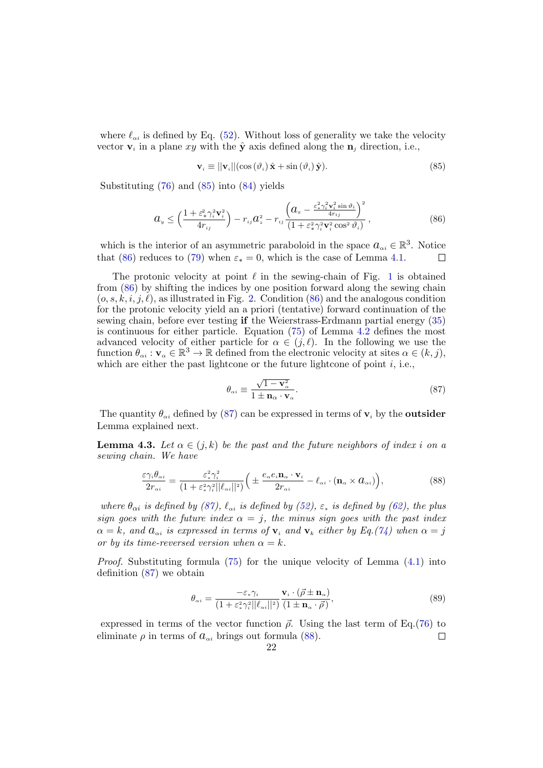where  $\ell_{\alpha i}$  is defined by Eq. [\(52\)](#page-13-4). Without loss of generality we take the velocity vector  $\mathbf{v}_i$  in a plane xy with the  $\hat{\mathbf{y}}$  axis defined along the  $\mathbf{n}_j$  direction, i.e.,

<span id="page-21-1"></span>
$$
\mathbf{v}_{i} \equiv ||\mathbf{v}_{i}||(\cos(\vartheta_{i})\,\hat{\mathbf{x}} + \sin(\vartheta_{i})\,\hat{\mathbf{y}}). \tag{85}
$$

Substituting  $(76)$  and  $(85)$  into  $(84)$  yields

<span id="page-21-2"></span>
$$
a_y \leq \left(\frac{1+\varepsilon_*^2 \gamma_i^2 \mathbf{v}_i^2}{4r_{ij}}\right) - r_{ij}a_z^2 - r_{ij}\frac{\left(a_x - \frac{\varepsilon_*^2 \gamma_i^2 \mathbf{v}_i^2 \sin \vartheta_i}{4r_{ij}}\right)^2}{\left(1 + \varepsilon_*^2 \gamma_i^2 \mathbf{v}_i^2 \cos^2 \vartheta_i\right)}\,,\tag{86}
$$

which is the interior of an asymmetric paraboloid in the space  $a_{\alpha i} \in \mathbb{R}^3$ . Notice that [\(86\)](#page-21-2) reduces to [\(79\)](#page-20-2) when  $\varepsilon_* = 0$ , which is the case of Lemma [4.1.](#page-19-0)  $\Box$ 

The protonic velocity at point  $\ell$  in the sewing-chain of Fig. [1](#page-4-0) is obtained from [\(86\)](#page-21-2) by shifting the indices by one position forward along the sewing chain  $(o, s, k, i, j, l)$ , as illustrated in Fig. [2.](#page-6-0) Condition [\(86\)](#page-21-2) and the analogous condition for the protonic velocity yield an a priori (tentative) forward continuation of the sewing chain, before ever testing if the Weierstrass-Erdmann partial energy [\(35\)](#page-10-5) is continuous for either particle. Equation [\(75\)](#page-19-4) of Lemma [4.2](#page-20-0) defines the most advanced velocity of either particle for  $\alpha \in (j, \ell)$ . In the following we use the function  $\theta_{\alpha i} : \mathbf{v}_{\alpha} \in \mathbb{R}^3 \to \mathbb{R}$  defined from the electronic velocity at sites  $\alpha \in (k, j)$ , which are either the past lightcone or the future lightcone of point  $i$ , i.e.,

<span id="page-21-3"></span>
$$
\theta_{\alpha i} \equiv \frac{\sqrt{1 - \mathbf{v}_{\alpha}^2}}{1 \pm \mathbf{n}_{\alpha} \cdot \mathbf{v}_{\alpha}}.\tag{87}
$$

The quantity  $\theta_{\alpha i}$  defined by [\(87\)](#page-21-3) can be expressed in terms of  $v_i$  by the outsider Lemma explained next.

**Lemma 4.3.** Let  $\alpha \in (j,k)$  be the past and the future neighbors of index i on a sewing chain. We have

<span id="page-21-0"></span>
$$
\frac{\varepsilon \gamma_i \theta_{\alpha i}}{2r_{\alpha i}} = \frac{\varepsilon_*^2 \gamma_i^2}{(1 + \varepsilon_*^2 \gamma_i^2 ||\ell_{\alpha i}||^2)} \bigg( \pm \frac{e_\alpha e_i \mathbf{n}_\alpha \cdot \mathbf{v}_i}{2r_{\alpha i}} - \ell_{\alpha i} \cdot (\mathbf{n}_\alpha \times a_{\alpha i}) \bigg),\tag{88}
$$

where  $\theta_{\alpha i}$  is defined by [\(87\)](#page-21-3),  $\ell_{\alpha i}$  is defined by [\(52\)](#page-13-4),  $\varepsilon_*$  is defined by [\(62\)](#page-15-3), the plus sign goes with the future index  $\alpha = j$ , the minus sign goes with the past index  $\alpha = k$ , and  $a_{\alpha i}$  is expressed in terms of  $v_i$  and  $v_k$  either by Eq.[\(74\)](#page-19-1) when  $\alpha = j$ or by its time-reversed version when  $\alpha = k$ .

*Proof.* Substituting formula  $(75)$  for the unique velocity of Lemma  $(4.1)$  into definition [\(87\)](#page-21-3) we obtain

$$
\theta_{\alpha i} = \frac{-\varepsilon_* \gamma_i}{\left(1 + \varepsilon_*^2 \gamma_i^2 ||\ell_{\alpha i}||^2\right)} \frac{\mathbf{v}_i \cdot (\vec{\rho} \pm \mathbf{n}_{\alpha})}{\left(1 \pm \mathbf{n}_{\alpha} \cdot \vec{\rho}\right)},\tag{89}
$$

expressed in terms of the vector function  $\vec{\rho}$ . Using the last term of Eq.[\(76\)](#page-19-3) to eliminate  $\rho$  in terms of  $a_{\alpha i}$  brings out formula [\(88\)](#page-21-0).  $\Box$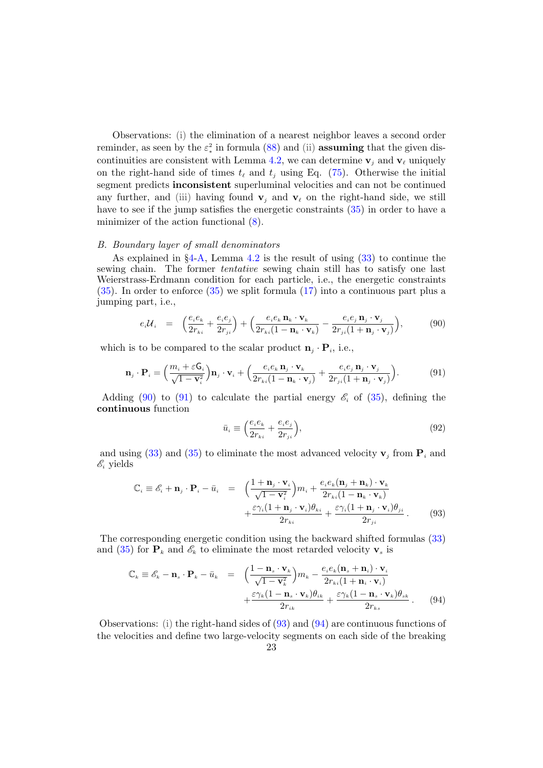Observations: (i) the elimination of a nearest neighbor leaves a second order reminder, as seen by the  $\varepsilon_*^2$  in formula [\(88\)](#page-21-0) and (ii) **assuming** that the given dis-continuities are consistent with Lemma [4.2,](#page-20-0) we can determine  $v_j$  and  $v_\ell$  uniquely on the right-hand side of times  $t_{\ell}$  and  $t_j$  using Eq. [\(75\)](#page-19-4). Otherwise the initial segment predicts inconsistent superluminal velocities and can not be continued any further, and (iii) having found  $v_i$  and  $v_\ell$  on the right-hand side, we still have to see if the jump satisfies the energetic constraints [\(35\)](#page-10-5) in order to have a minimizer of the action functional [\(8\)](#page-5-2).

# <span id="page-22-0"></span>B. Boundary layer of small denominators

As explained in  $\S 4-A$  $\S 4-A$  $\S 4-A$ , Lemma [4.2](#page-20-0) is the result of using [\(33\)](#page-10-4) to continue the sewing chain. The former tentative sewing chain still has to satisfy one last Weierstrass-Erdmann condition for each particle, i.e., the energetic constraints [\(35\)](#page-10-5). In order to enforce [\(35\)](#page-10-5) we split formula [\(17\)](#page-7-4) into a continuous part plus a jumping part, i.e.,

<span id="page-22-1"></span>
$$
e_i \mathcal{U}_i = \left( \frac{e_i e_k}{2r_{ki}} + \frac{e_i e_j}{2r_{ji}} \right) + \left( \frac{e_i e_k \mathbf{n}_k \cdot \mathbf{v}_k}{2r_{ki}(1 - \mathbf{n}_k \cdot \mathbf{v}_k)} - \frac{e_i e_j \mathbf{n}_j \cdot \mathbf{v}_j}{2r_{ji}(1 + \mathbf{n}_j \cdot \mathbf{v}_j)} \right),
$$
(90)

which is to be compared to the scalar product  $\mathbf{n}_j \cdot \mathbf{P}_i$ , i.e.,

<span id="page-22-2"></span>
$$
\mathbf{n}_{j} \cdot \mathbf{P}_{i} = \left(\frac{m_{i} + \varepsilon \mathbf{G}_{i}}{\sqrt{1 - \mathbf{v}_{i}^{2}}}\right) \mathbf{n}_{j} \cdot \mathbf{v}_{i} + \left(\frac{e_{i} e_{k} \mathbf{n}_{j} \cdot \mathbf{v}_{k}}{2 r_{ki} (1 - \mathbf{n}_{k} \cdot \mathbf{v}_{j})} + \frac{e_{i} e_{j} \mathbf{n}_{j} \cdot \mathbf{v}_{j}}{2 r_{ji} (1 + \mathbf{n}_{j} \cdot \mathbf{v}_{j})}\right).
$$
(91)

Adding [\(90\)](#page-22-1) to [\(91\)](#page-22-2) to calculate the partial energy  $\mathscr{E}_i$  of [\(35\)](#page-10-5), defining the continuous function

$$
\bar{u}_i \equiv \left(\frac{e_i e_k}{2r_{ki}} + \frac{e_i e_j}{2r_{ji}}\right),\tag{92}
$$

and using [\(33\)](#page-10-4) and [\(35\)](#page-10-5) to eliminate the most advanced velocity  $\mathbf{v}_i$  from  $\mathbf{P}_i$  and  $\mathscr{E}_i$  yields

<span id="page-22-3"></span>
$$
\mathbb{C}_{i} \equiv \mathcal{E}_{i} + \mathbf{n}_{j} \cdot \mathbf{P}_{i} - \bar{u}_{i} = \left( \frac{1 + \mathbf{n}_{j} \cdot \mathbf{v}_{i}}{\sqrt{1 - \mathbf{v}_{i}^{2}}} \right) m_{i} + \frac{e_{i} e_{k} (\mathbf{n}_{j} + \mathbf{n}_{k}) \cdot \mathbf{v}_{k}}{2 r_{ki} (1 - \mathbf{n}_{k} \cdot \mathbf{v}_{k})} + \frac{\varepsilon \gamma_{i} (1 + \mathbf{n}_{j} \cdot \mathbf{v}_{i}) \theta_{ki}}{2 r_{ki}} + \frac{\varepsilon \gamma_{i} (1 + \mathbf{n}_{j} \cdot \mathbf{v}_{i}) \theta_{ji}}{2 r_{ji}}.
$$
\n(93)

The corresponding energetic condition using the backward shifted formulas [\(33\)](#page-10-4) and [\(35\)](#page-10-5) for  $\mathbf{P}_k$  and  $\mathcal{E}_k$  to eliminate the most retarded velocity  $\mathbf{v}_s$  is

<span id="page-22-4"></span>
$$
\mathbb{C}_{k} \equiv \mathscr{E}_{k} - \mathbf{n}_{s} \cdot \mathbf{P}_{k} - \bar{u}_{k} = \left( \frac{1 - \mathbf{n}_{s} \cdot \mathbf{v}_{k}}{\sqrt{1 - \mathbf{v}_{k}^{2}}} \right) m_{k} - \frac{e_{i} e_{k} (\mathbf{n}_{s} + \mathbf{n}_{i}) \cdot \mathbf{v}_{i}}{2 r_{ki} (1 + \mathbf{n}_{i} \cdot \mathbf{v}_{i})} + \frac{\varepsilon \gamma_{k} (1 - \mathbf{n}_{s} \cdot \mathbf{v}_{k}) \theta_{ik}}{2 r_{ik}} + \frac{\varepsilon \gamma_{k} (1 - \mathbf{n}_{s} \cdot \mathbf{v}_{k}) \theta_{sk}}{2 r_{ks}}.
$$
\n(94)

Observations: (i) the right-hand sides of [\(93\)](#page-22-3) and [\(94\)](#page-22-4) are continuous functions of the velocities and define two large-velocity segments on each side of the breaking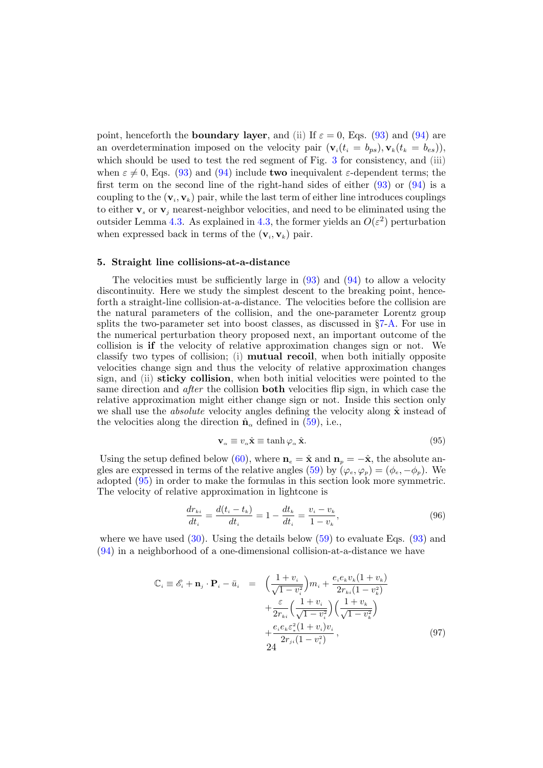point, henceforth the **boundary layer**, and (ii) If  $\varepsilon = 0$ , Eqs. [\(93\)](#page-22-3) and [\(94\)](#page-22-4) are an overdetermination imposed on the velocity pair  $(\mathbf{v}_i(t_i = b_{ps}), \mathbf{v}_k(t_k = b_{es}))$ , which should be used to test the red segment of Fig. [3](#page-11-0) for consistency, and (iii) when  $\varepsilon \neq 0$ , Eqs. [\(93\)](#page-22-3) and [\(94\)](#page-22-4) include **two** inequivalent  $\varepsilon$ -dependent terms; the first term on the second line of the right-hand sides of either  $(93)$  or  $(94)$  is a coupling to the  $(v_i, v_k)$  pair, while the last term of either line introduces couplings to either  $v_s$  or  $v_j$  nearest-neighbor velocities, and need to be eliminated using the outsider Lemma [4.3.](#page-21-0) As explained in [4.3,](#page-21-0) the former yields an  $O(\varepsilon^2)$  perturbation when expressed back in terms of the  $(\mathbf{v}_i, \mathbf{v}_k)$  pair.

# <span id="page-23-0"></span>5. Straight line collisions-at-a-distance

The velocities must be sufficiently large in  $(93)$  and  $(94)$  to allow a velocity discontinuity. Here we study the simplest descent to the breaking point, henceforth a straight-line collision-at-a-distance. The velocities before the collision are the natural parameters of the collision, and the one-parameter Lorentz group splits the two-parameter set into boost classes, as discussed in  $\S$ [7-](#page-28-0)[A.](#page-28-1) For use in the numerical perturbation theory proposed next, an important outcome of the collision is if the velocity of relative approximation changes sign or not. We classify two types of collision; (i) mutual recoil, when both initially opposite velocities change sign and thus the velocity of relative approximation changes sign, and (ii) sticky collision, when both initial velocities were pointed to the same direction and after the collision both velocities flip sign, in which case the relative approximation might either change sign or not. Inside this section only we shall use the *absolute* velocity angles defining the velocity along  $\hat{\mathbf{x}}$  instead of the velocities along the direction  $\hat{\mathbf{n}}_{\alpha}$  defined in [\(59\)](#page-15-0), i.e.,

<span id="page-23-1"></span>
$$
\mathbf{v}_{\alpha} \equiv v_{\alpha} \hat{\mathbf{x}} \equiv \tanh \varphi_{\alpha} \hat{\mathbf{x}}.\tag{95}
$$

Using the setup defined below [\(60\)](#page-15-4), where  $n_e = \hat{x}$  and  $n_p = -\hat{x}$ , the absolute an-gles are expressed in terms of the relative angles [\(59\)](#page-15-0) by  $(\varphi_e, \varphi_p) = (\phi_e, -\phi_p)$ . We adopted [\(95\)](#page-23-1) in order to make the formulas in this section look more symmetric. The velocity of relative approximation in lightcone is

$$
\frac{dr_{ki}}{dt_i} = \frac{d(t_i - t_k)}{dt_i} = 1 - \frac{dt_k}{dt_i} = \frac{v_i - v_k}{1 - v_k},\tag{96}
$$

where we have used  $(30)$ . Using the details below  $(59)$  to evaluate Eqs.  $(93)$  and [\(94\)](#page-22-4) in a neighborhood of a one-dimensional collision-at-a-distance we have

<span id="page-23-2"></span>
$$
\mathbb{C}_{i} \equiv \mathcal{E}_{i} + \mathbf{n}_{j} \cdot \mathbf{P}_{i} - \bar{u}_{i} = \left( \frac{1 + v_{i}}{\sqrt{1 - v_{i}^{2}}} \right) m_{i} + \frac{e_{i} e_{k} v_{k} (1 + v_{k})}{2 r_{k i} (1 - v_{k}^{2})} + \frac{\varepsilon}{2 r_{k i}} \left( \frac{1 + v_{i}}{\sqrt{1 - v_{i}^{2}}} \right) \left( \frac{1 + v_{k}}{\sqrt{1 - v_{k}^{2}}} \right) + \frac{e_{i} e_{k} \varepsilon_{*}^{2} (1 + v_{i}) v_{i}}{2 r_{j i} (1 - v_{i}^{2})},
$$
\n(97)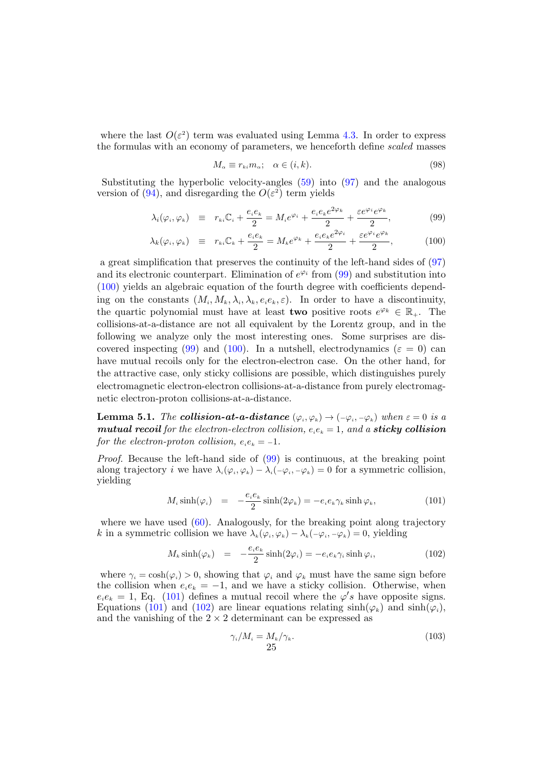where the last  $O(\varepsilon^2)$  term was evaluated using Lemma [4.3.](#page-21-0) In order to express the formulas with an economy of parameters, we henceforth define scaled masses

$$
M_{\alpha} \equiv r_{ki} m_{\alpha}; \quad \alpha \in (i,k). \tag{98}
$$

Substituting the hyperbolic velocity-angles [\(59\)](#page-15-0) into [\(97\)](#page-23-2) and the analogous version of [\(94\)](#page-22-4), and disregarding the  $O(\varepsilon^2)$  term yields

<span id="page-24-1"></span>
$$
\lambda_i(\varphi_i, \varphi_k) \equiv r_{ki} \mathbb{C}_i + \frac{e_i e_k}{2} = M_i e^{\varphi_i} + \frac{e_i e_k e^{2\varphi_k}}{2} + \frac{\varepsilon e^{\varphi_i} e^{\varphi_k}}{2}, \tag{99}
$$

$$
\lambda_k(\varphi_i, \varphi_k) \equiv r_{ki} \mathbb{C}_k + \frac{e_i e_k}{2} = M_k e^{\varphi_k} + \frac{e_i e_k e^{2\varphi_i}}{2} + \frac{\varepsilon e^{\varphi_i} e^{\varphi_k}}{2}, \tag{100}
$$

a great simplification that preserves the continuity of the left-hand sides of [\(97\)](#page-23-2) and its electronic counterpart. Elimination of  $e^{\varphi_i}$  from [\(99\)](#page-24-1) and substitution into [\(100\)](#page-24-1) yields an algebraic equation of the fourth degree with coefficients depending on the constants  $(M_i, M_k, \lambda_i, \lambda_k, e_i e_k, \varepsilon)$ . In order to have a discontinuity, the quartic polynomial must have at least **two** positive roots  $e^{\varphi_k} \in \mathbb{R}_+$ . The collisions-at-a-distance are not all equivalent by the Lorentz group, and in the following we analyze only the most interesting ones. Some surprises are dis-covered inspecting [\(99\)](#page-24-1) and [\(100\)](#page-24-1). In a nutshell, electrodynamics ( $\varepsilon = 0$ ) can have mutual recoils only for the electron-electron case. On the other hand, for the attractive case, only sticky collisions are possible, which distinguishes purely electromagnetic electron-electron collisions-at-a-distance from purely electromagnetic electron-proton collisions-at-a-distance.

<span id="page-24-0"></span>**Lemma 5.1.** The **collision-at-a-distance**  $(\varphi_i, \varphi_k) \rightarrow (-\varphi_i, -\varphi_k)$  when  $\varepsilon = 0$  is a **mutual recoil** for the electron-electron collision,  $e_i e_k = 1$ , and a **sticky collision** for the electron-proton collision,  $e_i e_k = -1$ .

Proof. Because the left-hand side of [\(99\)](#page-24-1) is continuous, at the breaking point along trajectory *i* we have  $\lambda_i(\varphi_i, \varphi_k) - \lambda_i(-\varphi_i, -\varphi_k) = 0$  for a symmetric collision, yielding

<span id="page-24-2"></span>
$$
M_i \sinh(\varphi_i) = -\frac{e_i e_k}{2} \sinh(2\varphi_k) = -e_i e_k \gamma_k \sinh \varphi_k, \qquad (101)
$$

where we have used  $(60)$ . Analogously, for the breaking point along trajectory k in a symmetric collision we have  $\lambda_k(\varphi_i, \varphi_k) - \lambda_k(-\varphi_i, -\varphi_k) = 0$ , yielding

<span id="page-24-3"></span>
$$
M_k \sinh(\varphi_k) = -\frac{e_i e_k}{2} \sinh(2\varphi_i) = -e_i e_k \gamma_i \sinh \varphi_i, \qquad (102)
$$

where  $\gamma_i = \cosh(\varphi_i) > 0$ , showing that  $\varphi_i$  and  $\varphi_k$  must have the same sign before the collision when  $e_i e_k = -1$ , and we have a sticky collision. Otherwise, when  $e_i e_k = 1$ , Eq. [\(101\)](#page-24-2) defines a mutual recoil where the  $\varphi's$  have opposite signs. Equations [\(101\)](#page-24-2) and [\(102\)](#page-24-3) are linear equations relating  $sinh(\varphi_k)$  and  $sinh(\varphi_i)$ , and the vanishing of the  $2 \times 2$  determinant can be expressed as

<span id="page-24-4"></span>
$$
\gamma_i/M_i = \frac{M_k}{\gamma_k}.\tag{103}
$$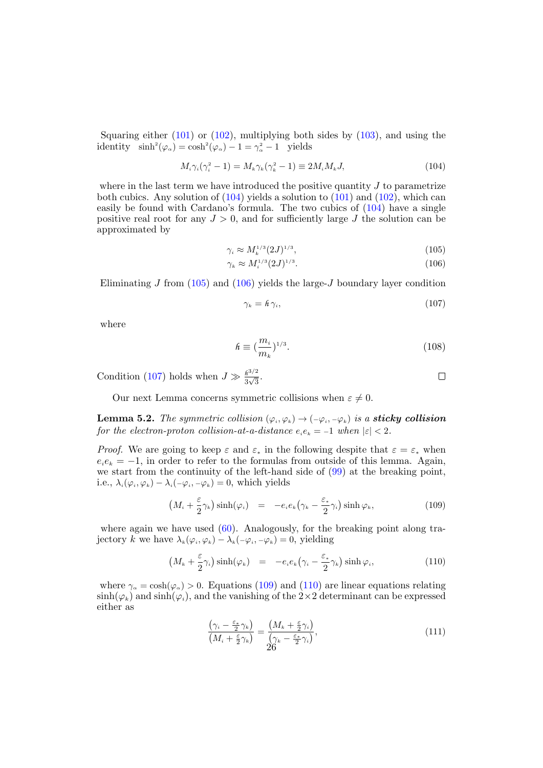Squaring either [\(101\)](#page-24-2) or [\(102\)](#page-24-3), multiplying both sides by [\(103\)](#page-24-4), and using the identity  $\sinh^2(\varphi_\alpha) = \cosh^2(\varphi_\alpha) - 1 = \gamma_\alpha^2 - 1$  yields

<span id="page-25-1"></span>
$$
M_i \gamma_i (\gamma_i^2 - 1) = M_k \gamma_k (\gamma_k^2 - 1) \equiv 2M_i M_k J,\tag{104}
$$

where in the last term we have introduced the positive quantity  $J$  to parametrize both cubics. Any solution of  $(104)$  yields a solution to  $(101)$  and  $(102)$ , which can easily be found with Cardano's formula. The two cubics of [\(104\)](#page-25-1) have a single positive real root for any  $J > 0$ , and for sufficiently large J the solution can be approximated by

<span id="page-25-2"></span>
$$
\gamma_i \approx M_k^{1/3} (2J)^{1/3},\tag{105}
$$

$$
\gamma_k \approx M_i^{1/3} (2J)^{1/3}.
$$
\n(106)

Eliminating J from  $(105)$  and  $(106)$  yields the large-J boundary layer condition

<span id="page-25-3"></span>
$$
\gamma_k = \hbar \,\gamma_i,\tag{107}
$$

where

<span id="page-25-7"></span>
$$
\hbar \equiv \left(\frac{m_i}{m_k}\right)^{1/3}.\tag{108}
$$

 $\Box$ 

Condition [\(107\)](#page-25-3) holds when  $J \gg \frac{\hbar^{3/2}}{2\sqrt{3}}$  $\frac{h^{3/2}}{3\sqrt{3}}$ .

Our next Lemma concerns symmetric collisions when  $\varepsilon \neq 0$ .

<span id="page-25-0"></span>**Lemma 5.2.** The symmetric collision  $(\varphi_i, \varphi_k) \to (-\varphi_i, -\varphi_k)$  is a **sticky collision** for the electron-proton collision-at-a-distance  $e_i e_k = -1$  when  $|\varepsilon| < 2$ .

*Proof.* We are going to keep  $\varepsilon$  and  $\varepsilon_*$  in the following despite that  $\varepsilon = \varepsilon_*$  when  $e_i e_k = -1$ , in order to refer to the formulas from outside of this lemma. Again, we start from the continuity of the left-hand side of [\(99\)](#page-24-1) at the breaking point, i.e.,  $\lambda_i(\varphi_i, \varphi_k) - \lambda_i(-\varphi_i, -\varphi_k) = 0$ , which yields

<span id="page-25-4"></span>
$$
\left(M_i + \frac{\varepsilon}{2}\gamma_k\right)\sinh(\varphi_i) = -e_i e_k \left(\gamma_k - \frac{\varepsilon_*}{2}\gamma_i\right)\sinh\varphi_k, \tag{109}
$$

where again we have used [\(60\)](#page-15-4). Analogously, for the breaking point along trajectory k we have  $\lambda_k(\varphi_i, \varphi_k) - \lambda_k(-\varphi_i, -\varphi_k) = 0$ , yielding

<span id="page-25-5"></span>
$$
\left(M_k + \frac{\varepsilon}{2}\gamma_i\right)\sinh(\varphi_k) = -e_i e_k \left(\gamma_i - \frac{\varepsilon_*}{2}\gamma_k\right)\sinh\varphi_i, \tag{110}
$$

where  $\gamma_a = \cosh(\varphi_a) > 0$ . Equations [\(109\)](#page-25-4) and [\(110\)](#page-25-5) are linear equations relating  $\sinh(\varphi_k)$  and  $\sinh(\varphi_i)$ , and the vanishing of the 2×2 determinant can be expressed either as

<span id="page-25-6"></span>
$$
\frac{\left(\gamma_i - \frac{\varepsilon_*}{2}\gamma_k\right)}{\left(M_i + \frac{\varepsilon}{2}\gamma_k\right)} = \frac{\left(M_k + \frac{\varepsilon}{2}\gamma_i\right)}{\left(\gamma_k - \frac{\varepsilon_*}{2}\gamma_i\right)},\tag{111}
$$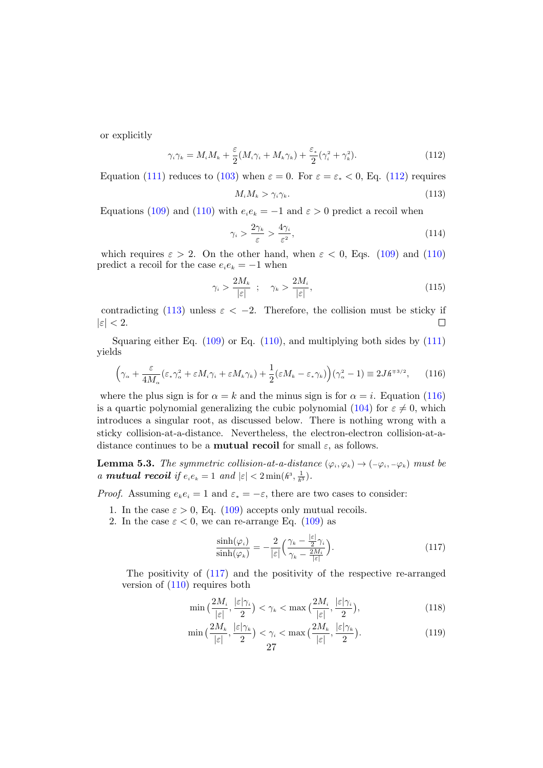or explicitly

<span id="page-26-1"></span>
$$
\gamma_i \gamma_k = M_i M_k + \frac{\varepsilon}{2} (M_i \gamma_i + M_k \gamma_k) + \frac{\varepsilon_*}{2} (\gamma_i^2 + \gamma_k^2). \tag{112}
$$

Equation [\(111\)](#page-25-6) reduces to [\(103\)](#page-24-4) when  $\varepsilon = 0$ . For  $\varepsilon = \varepsilon_* < 0$ , Eq. [\(112\)](#page-26-1) requires

<span id="page-26-2"></span>
$$
M_i M_k > \gamma_i \gamma_k. \tag{113}
$$

Equations [\(109\)](#page-25-4) and [\(110\)](#page-25-5) with  $e_i e_k = -1$  and  $\varepsilon > 0$  predict a recoil when

$$
\gamma_i > \frac{2\gamma_k}{\varepsilon} > \frac{4\gamma_i}{\varepsilon^2},\tag{114}
$$

which requires  $\varepsilon > 2$ . On the other hand, when  $\varepsilon < 0$ , Eqs. [\(109\)](#page-25-4) and [\(110\)](#page-25-5) predict a recoil for the case  $e_i e_k = -1$  when

$$
\gamma_i > \frac{2M_k}{|\varepsilon|} \quad ; \quad \gamma_k > \frac{2M_i}{|\varepsilon|}, \tag{115}
$$

contradicting [\(113\)](#page-26-2) unless  $\varepsilon < -2$ . Therefore, the collision must be sticky if  $|\varepsilon| < 2$ .  $\Box$ 

Squaring either Eq.  $(109)$  or Eq.  $(110)$ , and multiplying both sides by  $(111)$ yields

<span id="page-26-3"></span>
$$
\left(\gamma_{\alpha} + \frac{\varepsilon}{4M_{\alpha}} (\varepsilon_{*}\gamma_{\alpha}^{2} + \varepsilon M_{i}\gamma_{i} + \varepsilon M_{k}\gamma_{k}) + \frac{1}{2} (\varepsilon M_{k} - \varepsilon_{*}\gamma_{k})\right) (\gamma_{\alpha}^{2} - 1) \equiv 2J\hbar^{\mp 3/2}, \qquad (116)
$$

where the plus sign is for  $\alpha = k$  and the minus sign is for  $\alpha = i$ . Equation [\(116\)](#page-26-3) is a quartic polynomial generalizing the cubic polynomial [\(104\)](#page-25-1) for  $\varepsilon \neq 0$ , which introduces a singular root, as discussed below. There is nothing wrong with a sticky collision-at-a-distance. Nevertheless, the electron-electron collision-at-adistance continues to be a **mutual recoil** for small  $\varepsilon$ , as follows.

<span id="page-26-0"></span>**Lemma 5.3.** The symmetric collision-at-a-distance  $(\varphi_i, \varphi_k) \to (-\varphi_i, -\varphi_k)$  must be *a* **mutual recoil** if  $e_i e_k = 1$  and  $|\varepsilon| < 2 \min(h^3, \frac{1}{h^3})$ .

*Proof.* Assuming  $e_k e_i = 1$  and  $\varepsilon_* = -\varepsilon$ , there are two cases to consider:

- 1. In the case  $\varepsilon > 0$ , Eq. [\(109\)](#page-25-4) accepts only mutual recoils.
- 2. In the case  $\varepsilon < 0$ , we can re-arrange Eq. [\(109\)](#page-25-4) as

<span id="page-26-4"></span>
$$
\frac{\sinh(\varphi_i)}{\sinh(\varphi_k)} = -\frac{2}{|\varepsilon|} \left( \frac{\gamma_k - \frac{|\varepsilon|}{2} \gamma_i}{\gamma_k - \frac{2M_i}{|\varepsilon|}} \right). \tag{117}
$$

The positivity of [\(117\)](#page-26-4) and the positivity of the respective re-arranged version of [\(110\)](#page-25-5) requires both

$$
\min\left(\frac{2M_i}{|\varepsilon|}, \frac{|\varepsilon|\gamma_i}{2}\right) < \gamma_k < \max\left(\frac{2M_i}{|\varepsilon|}, \frac{|\varepsilon|\gamma_i}{2}\right),\tag{118}
$$

|ε|

$$
\min\big(\frac{2M_k}{|\varepsilon|}, \frac{|\varepsilon|\gamma_k}{2}\big) < \gamma_i < \max\big(\frac{2M_k}{|\varepsilon|}, \frac{|\varepsilon|\gamma_k}{2}\big). \tag{119}
$$
\n
$$
27
$$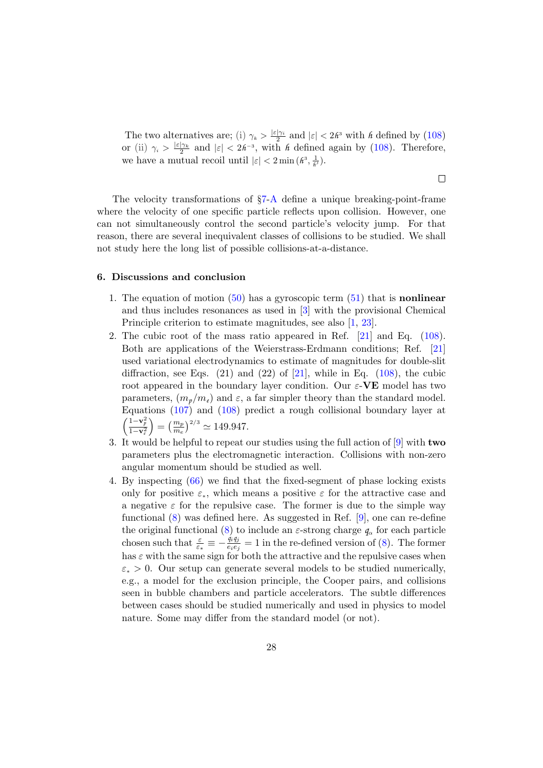The two alternatives are; (i)  $\gamma_k > \frac{|\varepsilon|\gamma_i}{2}$  and  $|\varepsilon| < 2h^3$  with *h* defined by [\(108\)](#page-25-7) or (ii)  $\gamma_i > \frac{|\varepsilon|\gamma_k}{2}$  and  $|\varepsilon| < 2h^{-3}$ , with *h* defined again by [\(108\)](#page-25-7). Therefore, we have a mutual recoil until  $|\varepsilon| < 2 \min(\hat{\mu}^3, \frac{1}{\hat{\mu}^3})$ .

 $\Box$ 

The velocity transformations of §[7](#page-28-0)[-A](#page-28-1) define a unique breaking-point-frame where the velocity of one specific particle reflects upon collision. However, one can not simultaneously control the second particle's velocity jump. For that reason, there are several inequivalent classes of collisions to be studied. We shall not study here the long list of possible collisions-at-a-distance.

# <span id="page-27-0"></span>6. Discussions and conclusion

- 1. The equation of motion  $(50)$  has a gyroscopic term  $(51)$  that is **nonlinear** and thus includes resonances as used in [\[3\]](#page-31-1) with the provisional Chemical Principle criterion to estimate magnitudes, see also [\[1,](#page-31-0) [23\]](#page-32-14).
- 2. The cubic root of the mass ratio appeared in Ref. [\[21\]](#page-32-15) and Eq. [\(108\)](#page-25-7). Both are applications of the Weierstrass-Erdmann conditions; Ref. [\[21\]](#page-32-15) used variational electrodynamics to estimate of magnitudes for double-slit diffraction, see Eqs.  $(21)$  and  $(22)$  of  $[21]$ , while in Eq.  $(108)$ , the cubic root appeared in the boundary layer condition. Our  $\varepsilon$ -VE model has two parameters,  $(m_p/m_e)$  and  $\varepsilon$ , a far simpler theory than the standard model. Equations [\(107\)](#page-25-3) and [\(108\)](#page-25-7) predict a rough collisional boundary layer at  $\left(\frac{1-\mathbf{v}_p^2}{1-\mathbf{v}_e^2}\right)$  $= \left(\frac{m_p}{m_e}\right)^{2/3} \simeq 149.947.$
- 3. It would be helpful to repeat our studies using the full action of [\[9\]](#page-31-5) with two parameters plus the electromagnetic interaction. Collisions with non-zero angular momentum should be studied as well.
- 4. By inspecting [\(66\)](#page-16-3) we find that the fixed-segment of phase locking exists only for positive  $\varepsilon_{*}$ , which means a positive  $\varepsilon$  for the attractive case and a negative  $\varepsilon$  for the repulsive case. The former is due to the simple way functional [\(8\)](#page-5-2) was defined here. As suggested in Ref. [\[9\]](#page-31-5), one can re-define the original functional [\(8\)](#page-5-2) to include an  $\varepsilon$ -strong charge  $q_\alpha$  for each particle chosen such that  $\frac{\varepsilon}{\varepsilon_*} \equiv -\frac{\dot{q}_i q_j}{e_i e_j}$  $\frac{\ddot{q}_i q_j}{e_i e_j} = 1$  in the re-defined version of [\(8\)](#page-5-2). The former has  $\varepsilon$  with the same sign for both the attractive and the repulsive cases when  $\varepsilon_* > 0$ . Our setup can generate several models to be studied numerically, e.g., a model for the exclusion principle, the Cooper pairs, and collisions seen in bubble chambers and particle accelerators. The subtle differences between cases should be studied numerically and used in physics to model nature. Some may differ from the standard model (or not).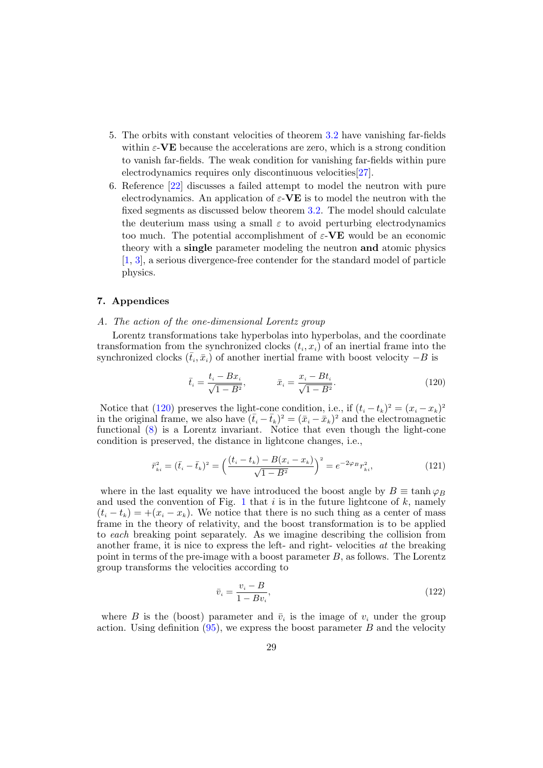- 5. The orbits with constant velocities of theorem [3.2](#page-16-0) have vanishing far-fields within  $\varepsilon$ -VE because the accelerations are zero, which is a strong condition to vanish far-fields. The weak condition for vanishing far-fields within pure electrodynamics requires only discontinuous velocities[\[27\]](#page-32-16).
- 6. Reference [\[22\]](#page-32-10) discusses a failed attempt to model the neutron with pure electrodynamics. An application of  $\varepsilon$ -VE is to model the neutron with the fixed segments as discussed below theorem [3.2.](#page-16-0) The model should calculate the deuterium mass using a small  $\varepsilon$  to avoid perturbing electrodynamics too much. The potential accomplishment of  $\varepsilon$ -VE would be an economic theory with a single parameter modeling the neutron and atomic physics [\[1,](#page-31-0) [3\]](#page-31-1), a serious divergence-free contender for the standard model of particle physics.

## <span id="page-28-0"></span>7. Appendices

### <span id="page-28-1"></span>A. The action of the one-dimensional Lorentz group

Lorentz transformations take hyperbolas into hyperbolas, and the coordinate transformation from the synchronized clocks  $(t_i, x_i)$  of an inertial frame into the synchronized clocks  $(\bar{t}_i, \bar{x}_i)$  of another inertial frame with boost velocity  $-B$  is

<span id="page-28-2"></span>
$$
\bar{t}_i = \frac{t_i - Bx_i}{\sqrt{1 - B^2}}, \qquad \bar{x}_i = \frac{x_i - Bt_i}{\sqrt{1 - B^2}}.
$$
\n(120)

Notice that [\(120\)](#page-28-2) preserves the light-cone condition, i.e., if  $(t_i - t_k)^2 = (x_i - x_k)^2$ in the original frame, we also have  $(\bar{t}_i - \bar{t}_k)^2 = (\bar{x}_i - \bar{x}_k)^2$  and the electromagnetic functional [\(8\)](#page-5-2) is a Lorentz invariant. Notice that even though the light-cone condition is preserved, the distance in lightcone changes, i.e.,

$$
\bar{r}_{ki}^2 = (\bar{t}_i - \bar{t}_k)^2 = \left(\frac{(t_i - t_k) - B(x_i - x_k)}{\sqrt{1 - B^2}}\right)^2 = e^{-2\varphi_B} r_{ki}^2,
$$
\n(121)

where in the last equality we have introduced the boost angle by  $B \equiv \tanh \varphi_B$ and used the convention of Fig. [1](#page-4-0) that  $i$  is in the future lightcone of  $k$ , namely  $(t_i - t_k) = +(x_i - x_k)$ . We notice that there is no such thing as a center of mass frame in the theory of relativity, and the boost transformation is to be applied to each breaking point separately. As we imagine describing the collision from another frame, it is nice to express the left- and right-velocities  $at$  the breaking point in terms of the pre-image with a boost parameter  $B$ , as follows. The Lorentz group transforms the velocities according to

<span id="page-28-3"></span>
$$
\bar{v}_i = \frac{v_i - B}{1 - Bv_i},\tag{122}
$$

where B is the (boost) parameter and  $\bar{v}_i$  is the image of  $v_i$  under the group action. Using definition  $(95)$ , we express the boost parameter B and the velocity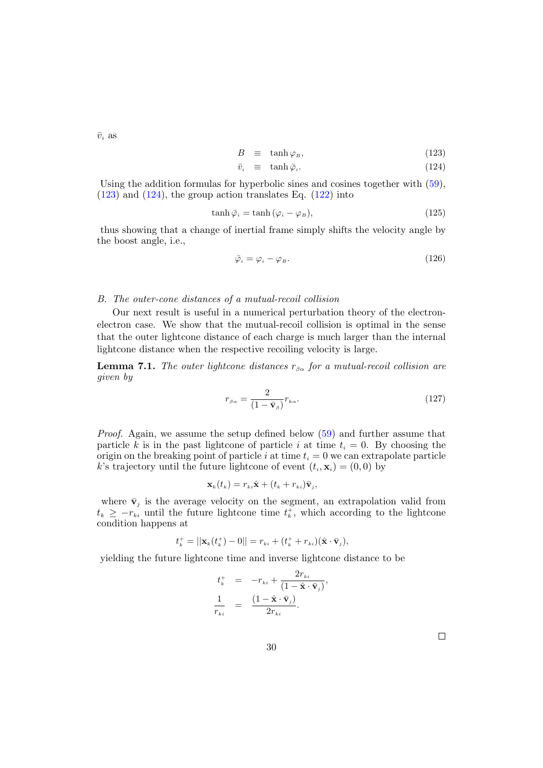$\bar{v}_i$  as

<span id="page-29-2"></span>
$$
B \equiv \tanh \varphi_B, \tag{123}
$$

$$
\bar{v}_i \equiv \tanh \bar{\varphi}_i. \tag{124}
$$

Using the addition formulas for hyperbolic sines and cosines together with [\(59\)](#page-15-0),  $(123)$  and  $(124)$ , the group action translates Eq.  $(122)$  into

$$
\tanh \bar{\varphi}_i = \tanh (\varphi_i - \varphi_B), \tag{125}
$$

thus showing that a change of inertial frame simply shifts the velocity angle by the boost angle, i.e.,

$$
\bar{\varphi}_i = \varphi_i - \varphi_B. \tag{126}
$$

### <span id="page-29-0"></span>B. The outer-cone distances of a mutual-recoil collision

Our next result is useful in a numerical perturbation theory of the electronelectron case. We show that the mutual-recoil collision is optimal in the sense that the outer lightcone distance of each charge is much larger than the internal lightcone distance when the respective recoiling velocity is large.

**Lemma 7.1.** The outer lightcone distances  $r_{\beta\alpha}$  for a mutual-recoil collision are given by

<span id="page-29-1"></span>
$$
r_{\beta\alpha} = \frac{2}{(1 - \bar{\mathbf{v}}_{\beta})} r_{k\alpha}.
$$
\n(127)

Proof. Again, we assume the setup defined below [\(59\)](#page-15-0) and further assume that particle k is in the past lightcone of particle i at time  $t_i = 0$ . By choosing the origin on the breaking point of particle i at time  $t_i = 0$  we can extrapolate particle k's trajectory until the future lightcone of event  $(t_i, \mathbf{x}_i) = (0, 0)$  by

$$
\mathbf{x}_{k}(t_{k})=r_{ki}\hat{\mathbf{x}}+(t_{k}+r_{ki})\bar{\mathbf{v}}_{j},
$$

where  $\bar{v}_j$  is the average velocity on the segment, an extrapolation valid from  $t_k \geq -r_{ki}$  until the future lightcone time  $t_k^+$ , which according to the lightcone condition happens at

$$
t_k^+ = ||\mathbf{x}_k(t_k^+) - 0|| = r_{ki} + (t_k^+ + r_{ki})(\hat{\mathbf{x}} \cdot \bar{\mathbf{v}}_j),
$$

yielding the future lightcone time and inverse lightcone distance to be

$$
t_k^+ = -r_{ki} + \frac{2r_{ki}}{(1 - \hat{\mathbf{x}} \cdot \bar{\mathbf{v}}_j)},
$$
  

$$
\frac{1}{r_{ki}} = \frac{(1 - \hat{\mathbf{x}} \cdot \bar{\mathbf{v}}_j)}{2r_{ki}}.
$$

 $\Box$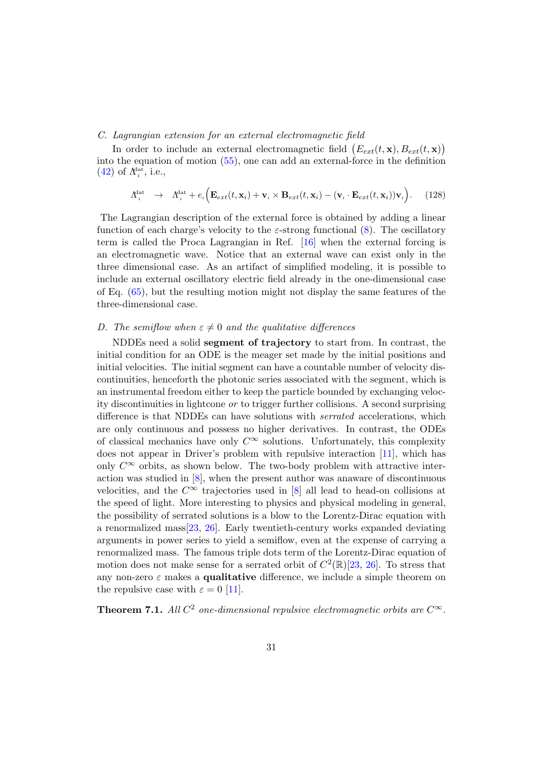# <span id="page-30-0"></span>C. Lagrangian extension for an external electromagnetic field

In order to include an external electromagnetic field  $(E_{ext}(t, \mathbf{x}), B_{ext}(t, \mathbf{x}))$ into the equation of motion [\(55\)](#page-14-2), one can add an external-force in the definition  $(42)$  of  $\Lambda_i^{\text{lat}},$  i.e.,

$$
\Lambda_i^{\text{dat}} \rightarrow \Lambda_i^{\text{dat}} + e_i \Big( \mathbf{E}_{ext}(t, \mathbf{x}_i) + \mathbf{v}_i \times \mathbf{B}_{ext}(t, \mathbf{x}_i) - (\mathbf{v}_i \cdot \mathbf{E}_{ext}(t, \mathbf{x}_i)) \mathbf{v}_i \Big). \tag{128}
$$

The Lagrangian description of the external force is obtained by adding a linear function of each charge's velocity to the  $\varepsilon$ -strong functional [\(8\)](#page-5-2). The oscillatory term is called the Proca Lagrangian in Ref. [\[16\]](#page-32-5) when the external forcing is an electromagnetic wave. Notice that an external wave can exist only in the three dimensional case. As an artifact of simplified modeling, it is possible to include an external oscillatory electric field already in the one-dimensional case of Eq. [\(65\)](#page-16-1), but the resulting motion might not display the same features of the three-dimensional case.

## <span id="page-30-1"></span>D. The semiflow when  $\varepsilon \neq 0$  and the qualitative differences

NDDEs need a solid segment of trajectory to start from. In contrast, the initial condition for an ODE is the meager set made by the initial positions and initial velocities. The initial segment can have a countable number of velocity discontinuities, henceforth the photonic series associated with the segment, which is an instrumental freedom either to keep the particle bounded by exchanging velocity discontinuities in lightcone or to trigger further collisions. A second surprising difference is that NDDEs can have solutions with serrated accelerations, which are only continuous and possess no higher derivatives. In contrast, the ODEs of classical mechanics have only  $C^{\infty}$  solutions. Unfortunately, this complexity does not appear in Driver's problem with repulsive interaction [\[11\]](#page-32-1), which has only  $C^{\infty}$  orbits, as shown below. The two-body problem with attractive interaction was studied in [\[8\]](#page-31-4), when the present author was anaware of discontinuous velocities, and the  $C^{\infty}$  trajectories used in [\[8\]](#page-31-4) all lead to head-on collisions at the speed of light. More interesting to physics and physical modeling in general, the possibility of serrated solutions is a blow to the Lorentz-Dirac equation with a renormalized mass[\[23,](#page-32-14) [26\]](#page-32-17). Early twentieth-century works expanded deviating arguments in power series to yield a semiflow, even at the expense of carrying a renormalized mass. The famous triple dots term of the Lorentz-Dirac equation of motion does not make sense for a serrated orbit of  $C^2(\mathbb{R})[23, 26]$  $C^2(\mathbb{R})[23, 26]$  $C^2(\mathbb{R})[23, 26]$  $C^2(\mathbb{R})[23, 26]$ . To stress that any non-zero  $\varepsilon$  makes a **qualitative** difference, we include a simple theorem on the repulsive case with  $\varepsilon = 0$  [\[11\]](#page-32-1).

<span id="page-30-2"></span>**Theorem 7.1.** All  $C^2$  one-dimensional repulsive electromagnetic orbits are  $C^{\infty}$ .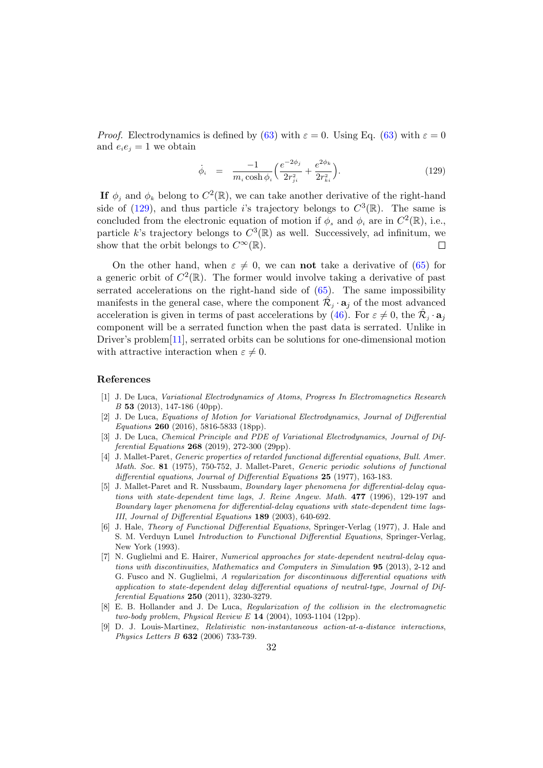*Proof.* Electrodynamics is defined by [\(63\)](#page-15-2) with  $\varepsilon = 0$ . Using Eq. (63) with  $\varepsilon = 0$ and  $e_i e_j = 1$  we obtain

<span id="page-31-7"></span>
$$
\dot{\phi}_i = \frac{-1}{m_i \cosh \phi_i} \Big( \frac{e^{-2\phi_j}}{2r_{ji}^2} + \frac{e^{2\phi_k}}{2r_{ki}^2} \Big). \tag{129}
$$

If  $\phi_j$  and  $\phi_k$  belong to  $C^2(\mathbb{R})$ , we can take another derivative of the right-hand side of [\(129\)](#page-31-7), and thus particle *i*'s trajectory belongs to  $C^3(\mathbb{R})$ . The same is concluded from the electronic equation of motion if  $\phi_s$  and  $\phi_i$  are in  $C^2(\mathbb{R})$ , i.e., particle k's trajectory belongs to  $C^3(\mathbb{R})$  as well. Successively, ad infinitum, we show that the orbit belongs to  $C^{\infty}(\mathbb{R})$ .  $\Box$ 

On the other hand, when  $\varepsilon \neq 0$ , we can not take a derivative of [\(65\)](#page-16-1) for a generic orbit of  $C^2(\mathbb{R})$ . The former would involve taking a derivative of past serrated accelerations on the right-hand side of [\(65\)](#page-16-1). The same impossibility manifests in the general case, where the component  $\hat{\mathcal{R}}_j \cdot \mathbf{a}_j$  of the most advanced acceleration is given in terms of past accelerations by [\(46\)](#page-12-5). For  $\varepsilon \neq 0$ , the  $\hat{\mathcal{R}}_j \cdot \mathbf{a}_j$ component will be a serrated function when the past data is serrated. Unlike in Driver's problem[\[11\]](#page-32-1), serrated orbits can be solutions for one-dimensional motion with attractive interaction when  $\varepsilon \neq 0$ .

#### References

- <span id="page-31-0"></span>[1] J. De Luca, Variational Electrodynamics of Atoms, Progress In Electromagnetics Research B 53 (2013), 147-186 (40pp).
- <span id="page-31-6"></span>[2] J. De Luca, Equations of Motion for Variational Electrodynamics, Journal of Differential Equations 260 (2016), 5816-5833 (18pp).
- <span id="page-31-1"></span>[3] J. De Luca, Chemical Principle and PDE of Variational Electrodynamics, Journal of Differential Equations 268 (2019), 272-300 (29pp).
- <span id="page-31-2"></span>[4] J. Mallet-Paret, Generic properties of retarded functional differential equations, Bull. Amer. Math. Soc. 81 (1975), 750-752, J. Mallet-Paret, Generic periodic solutions of functional differential equations, Journal of Differential Equations 25 (1977), 163-183.
- [5] J. Mallet-Paret and R. Nussbaum, Boundary layer phenomena for differential-delay equations with state-dependent time lags, J. Reine Angew. Math. 477 (1996), 129-197 and Boundary layer phenomena for differential-delay equations with state-dependent time lags-III, Journal of Differential Equations 189 (2003), 640-692.
- [6] J. Hale, Theory of Functional Differential Equations, Springer-Verlag (1977), J. Hale and S. M. Verduyn Lunel Introduction to Functional Differential Equations, Springer-Verlag, New York (1993).
- <span id="page-31-3"></span>[7] N. Guglielmi and E. Hairer, Numerical approaches for state-dependent neutral-delay equations with discontinuities, Mathematics and Computers in Simulation 95 (2013), 2-12 and G. Fusco and N. Guglielmi, A regularization for discontinuous differential equations with application to state-dependent delay differential equations of neutral-type, Journal of Differential Equations 250 (2011), 3230-3279.
- <span id="page-31-4"></span>[8] E. B. Hollander and J. De Luca, Regularization of the collision in the electromagnetic two-body problem, Physical Review E 14 (2004), 1093-1104 (12pp).
- <span id="page-31-5"></span>[9] D. J. Louis-Martinez, Relativistic non-instantaneous action-at-a-distance interactions, Physics Letters B 632 (2006) 733-739.